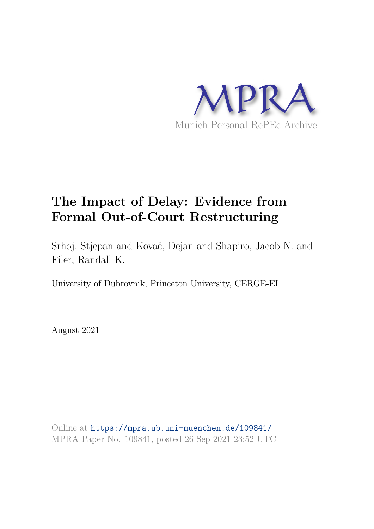

# **The Impact of Delay: Evidence from Formal Out-of-Court Restructuring**

Srhoj, Stjepan and Kovač, Dejan and Shapiro, Jacob N. and Filer, Randall K.

University of Dubrovnik, Princeton University, CERGE-EI

August 2021

Online at https://mpra.ub.uni-muenchen.de/109841/ MPRA Paper No. 109841, posted 26 Sep 2021 23:52 UTC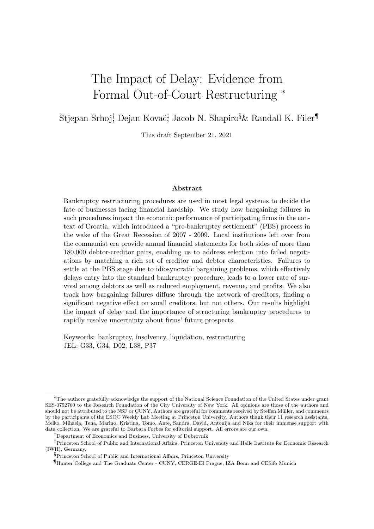# The Impact of Delay: Evidence from Formal Out-of-Court Restructuring <sup>∗</sup>

Stjepan Srhoj† Dejan Kovač‡ Jacob N. Shapiro§& Randall K. Filer¶

This draft September 21, 2021

#### Abstract

Bankruptcy restructuring procedures are used in most legal systems to decide the fate of businesses facing financial hardship. We study how bargaining failures in such procedures impact the economic performance of participating firms in the context of Croatia, which introduced a "pre-bankruptcy settlement" (PBS) process in the wake of the Great Recession of 2007 - 2009. Local institutions left over from the communist era provide annual financial statements for both sides of more than 180,000 debtor-creditor pairs, enabling us to address selection into failed negotiations by matching a rich set of creditor and debtor characteristics. Failures to settle at the PBS stage due to idiosyncratic bargaining problems, which effectively delays entry into the standard bankruptcy procedure, leads to a lower rate of survival among debtors as well as reduced employment, revenue, and profits. We also track how bargaining failures diffuse through the network of creditors, finding a significant negative effect on small creditors, but not others. Our results highlight the impact of delay and the importance of structuring bankruptcy procedures to rapidly resolve uncertainty about firms' future prospects.

Keywords: bankruptcy, insolvency, liquidation, restructuring JEL: G33, G34, D02, L38, P37

<sup>∗</sup>The authors gratefully acknowledge the support of the National Science Foundation of the United States under grant SES-0752760 to the Research Foundation of the City University of New York. All opinions are those of the authors and should not be attributed to the NSF or CUNY. Authors are grateful for comments received by Steffen Müller, and comments by the participants of the ESOC Weekly Lab Meeting at Princeton University. Authors thank their 11 research assistants, Melko, Mihaela, Tena, Marino, Kristina, Tomo, Ante, Sandra, David, Antonija and Nika for their immense support with data collection. We are grateful to Barbara Forbes for editorial support. All errors are our own.

<sup>†</sup>Department of Economics and Business, University of Dubrovnik

<sup>‡</sup>Princeton School of Public and International Affairs, Princeton University and Halle Institute for Economic Research (IWH), Germany,

<sup>&</sup>lt;sup>§</sup>Princeton School of Public and International Affairs, Princeton University

<sup>¶</sup>Hunter College and The Graduate Center - CUNY, CERGE-EI Prague, IZA Bonn and CESifo Munich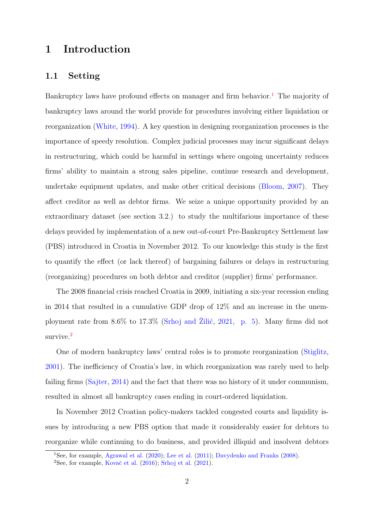# 1 Introduction

## 1.1 Setting

Bankruptcy laws have profound effects on manager and firm behavior.<sup>1</sup> The majority of bankruptcy laws around the world provide for procedures involving either liquidation or reorganization (White, 1994). A key question in designing reorganization processes is the importance of speedy resolution. Complex judicial processes may incur significant delays in restructuring, which could be harmful in settings where ongoing uncertainty reduces firms' ability to maintain a strong sales pipeline, continue research and development, undertake equipment updates, and make other critical decisions (Bloom, 2007). They affect creditor as well as debtor firms. We seize a unique opportunity provided by an extraordinary dataset (see section 3.2.) to study the multifarious importance of these delays provided by implementation of a new out-of-court Pre-Bankruptcy Settlement law (PBS) introduced in Croatia in November 2012. To our knowledge this study is the first to quantify the effect (or lack thereof) of bargaining failures or delays in restructuring (reorganizing) procedures on both debtor and creditor (supplier) firms' performance.

The 2008 financial crisis reached Croatia in 2009, initiating a six-year recession ending in 2014 that resulted in a cumulative GDP drop of 12% and an increase in the unemployment rate from  $8.6\%$  to  $17.3\%$  (Srhoj and Žilić, 2021, p. 5). Many firms did not survive.<sup>2</sup>

One of modern bankruptcy laws' central roles is to promote reorganization (Stiglitz, 2001). The inefficiency of Croatia's law, in which reorganization was rarely used to help failing firms (Sajter, 2014) and the fact that there was no history of it under communism, resulted in almost all bankruptcy cases ending in court-ordered liquidation.

In November 2012 Croatian policy-makers tackled congested courts and liquidity issues by introducing a new PBS option that made it considerably easier for debtors to reorganize while continuing to do business, and provided illiquid and insolvent debtors

<sup>1</sup>See, for example, Agrawal et al. (2020); Lee et al. (2011); Davydenko and Franks (2008).

<sup>&</sup>lt;sup>2</sup>See, for example, Kovač et al.  $(2016)$ ; Srhoj et al.  $(2021)$ .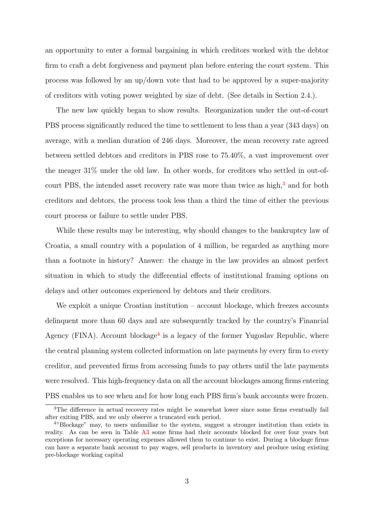an opportunity to enter a formal bargaining in which creditors worked with the debtor firm to craft a debt forgiveness and payment plan before entering the court system. This process was followed by an up/down vote that had to be approved by a super-majority of creditors with voting power weighted by size of debt. (See details in Section 2.4.).

The new law quickly began to show results. Reorganization under the out-of-court PBS process significantly reduced the time to settlement to less than a year (343 days) on average, with a median duration of 246 days. Moreover, the mean recovery rate agreed between settled debtors and creditors in PBS rose to 75.40%, a vast improvement over the meager 31% under the old law. In other words, for creditors who settled in out-ofcourt PBS, the intended asset recovery rate was more than twice as high,<sup>3</sup> and for both creditors and debtors, the process took less than a third the time of either the previous court process or failure to settle under PBS.

While these results may be interesting, why should changes to the bankruptcy law of Croatia, a small country with a population of 4 million, be regarded as anything more than a footnote in history? Answer: the change in the law provides an almost perfect situation in which to study the differential effects of institutional framing options on delays and other outcomes experienced by debtors and their creditors.

We exploit a unique Croatian institution – account blockage, which freezes accounts delinquent more than 60 days and are subsequently tracked by the country's Financial Agency (FINA). Account blockage<sup>4</sup> is a legacy of the former Yugoslav Republic, where the central planning system collected information on late payments by every firm to every creditor, and prevented firms from accessing funds to pay others until the late payments were resolved. This high-frequency data on all the account blockages among firms entering PBS enables us to see when and for how long each PBS firm's bank accounts were frozen.

<sup>&</sup>lt;sup>3</sup>The difference in actual recovery rates might be somewhat lower since some firms eventually fail after exiting PBS, and we only observe a truncated such period.

<sup>4</sup>"Blockage" may, to users unfamiliar to the system, suggest a stronger institution than exists in reality. As can be seen in Table A3 some firms had their accounts blocked for over four years but exceptions for necessary operating expenses allowed them to continue to exist. During a blockage firms can have a separate bank account to pay wages, sell products in inventory and produce using existing pre-blockage working capital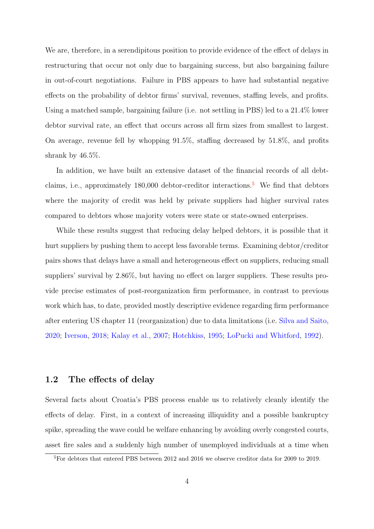We are, therefore, in a serendipitous position to provide evidence of the effect of delays in restructuring that occur not only due to bargaining success, but also bargaining failure in out-of-court negotiations. Failure in PBS appears to have had substantial negative effects on the probability of debtor firms' survival, revenues, staffing levels, and profits. Using a matched sample, bargaining failure (i.e. not settling in PBS) led to a 21.4% lower debtor survival rate, an effect that occurs across all firm sizes from smallest to largest. On average, revenue fell by whopping 91.5%, staffing decreased by 51.8%, and profits shrank by 46.5%.

In addition, we have built an extensive dataset of the financial records of all debtclaims, i.e., approximately  $180,000$  debtor-creditor interactions.<sup>5</sup> We find that debtors where the majority of credit was held by private suppliers had higher survival rates compared to debtors whose majority voters were state or state-owned enterprises.

While these results suggest that reducing delay helped debtors, it is possible that it hurt suppliers by pushing them to accept less favorable terms. Examining debtor/creditor pairs shows that delays have a small and heterogeneous effect on suppliers, reducing small suppliers' survival by 2.86%, but having no effect on larger suppliers. These results provide precise estimates of post-reorganization firm performance, in contrast to previous work which has, to date, provided mostly descriptive evidence regarding firm performance after entering US chapter 11 (reorganization) due to data limitations (i.e. Silva and Saito, 2020; Iverson, 2018; Kalay et al., 2007; Hotchkiss, 1995; LoPucki and Whitford, 1992).

### 1.2 The effects of delay

Several facts about Croatia's PBS process enable us to relatively cleanly identify the effects of delay. First, in a context of increasing illiquidity and a possible bankruptcy spike, spreading the wave could be welfare enhancing by avoiding overly congested courts, asset fire sales and a suddenly high number of unemployed individuals at a time when

<sup>5</sup>For debtors that entered PBS between 2012 and 2016 we observe creditor data for 2009 to 2019.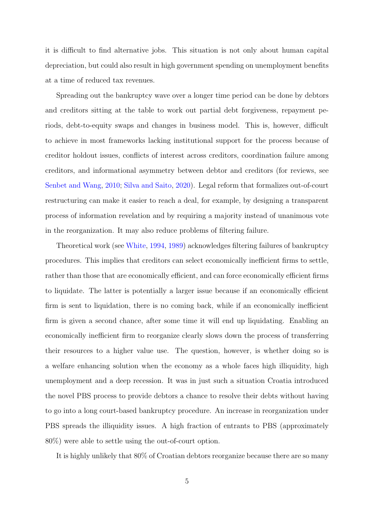it is difficult to find alternative jobs. This situation is not only about human capital depreciation, but could also result in high government spending on unemployment benefits at a time of reduced tax revenues.

Spreading out the bankruptcy wave over a longer time period can be done by debtors and creditors sitting at the table to work out partial debt forgiveness, repayment periods, debt-to-equity swaps and changes in business model. This is, however, difficult to achieve in most frameworks lacking institutional support for the process because of creditor holdout issues, conflicts of interest across creditors, coordination failure among creditors, and informational asymmetry between debtor and creditors (for reviews, see Senbet and Wang, 2010; Silva and Saito, 2020). Legal reform that formalizes out-of-court restructuring can make it easier to reach a deal, for example, by designing a transparent process of information revelation and by requiring a majority instead of unanimous vote in the reorganization. It may also reduce problems of filtering failure.

Theoretical work (see White, 1994, 1989) acknowledges filtering failures of bankruptcy procedures. This implies that creditors can select economically inefficient firms to settle, rather than those that are economically efficient, and can force economically efficient firms to liquidate. The latter is potentially a larger issue because if an economically efficient firm is sent to liquidation, there is no coming back, while if an economically inefficient firm is given a second chance, after some time it will end up liquidating. Enabling an economically inefficient firm to reorganize clearly slows down the process of transferring their resources to a higher value use. The question, however, is whether doing so is a welfare enhancing solution when the economy as a whole faces high illiquidity, high unemployment and a deep recession. It was in just such a situation Croatia introduced the novel PBS process to provide debtors a chance to resolve their debts without having to go into a long court-based bankruptcy procedure. An increase in reorganization under PBS spreads the illiquidity issues. A high fraction of entrants to PBS (approximately 80%) were able to settle using the out-of-court option.

It is highly unlikely that 80% of Croatian debtors reorganize because there are so many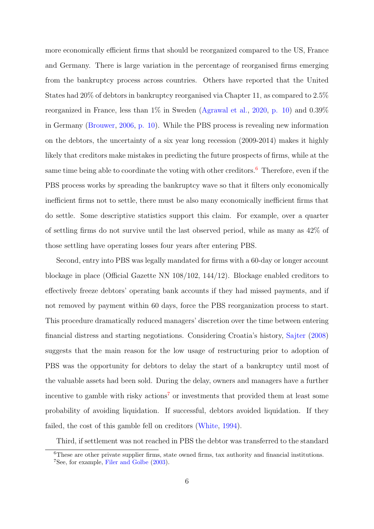more economically efficient firms that should be reorganized compared to the US, France and Germany. There is large variation in the percentage of reorganised firms emerging from the bankruptcy process across countries. Others have reported that the United States had 20% of debtors in bankruptcy reorganised via Chapter 11, as compared to 2.5% reorganized in France, less than 1% in Sweden (Agrawal et al., 2020, p. 10) and 0.39% in Germany (Brouwer, 2006, p. 10). While the PBS process is revealing new information on the debtors, the uncertainty of a six year long recession (2009-2014) makes it highly likely that creditors make mistakes in predicting the future prospects of firms, while at the same time being able to coordinate the voting with other creditors.<sup>6</sup> Therefore, even if the PBS process works by spreading the bankruptcy wave so that it filters only economically inefficient firms not to settle, there must be also many economically inefficient firms that do settle. Some descriptive statistics support this claim. For example, over a quarter of settling firms do not survive until the last observed period, while as many as 42% of those settling have operating losses four years after entering PBS.

Second, entry into PBS was legally mandated for firms with a 60-day or longer account blockage in place (Official Gazette NN 108/102, 144/12). Blockage enabled creditors to effectively freeze debtors' operating bank accounts if they had missed payments, and if not removed by payment within 60 days, force the PBS reorganization process to start. This procedure dramatically reduced managers' discretion over the time between entering financial distress and starting negotiations. Considering Croatia's history, Sajter (2008) suggests that the main reason for the low usage of restructuring prior to adoption of PBS was the opportunity for debtors to delay the start of a bankruptcy until most of the valuable assets had been sold. During the delay, owners and managers have a further incentive to gamble with risky actions<sup>7</sup> or investments that provided them at least some probability of avoiding liquidation. If successful, debtors avoided liquidation. If they failed, the cost of this gamble fell on creditors (White, 1994).

Third, if settlement was not reached in PBS the debtor was transferred to the standard

<sup>&</sup>lt;sup>6</sup>These are other private supplier firms, state owned firms, tax authority and financial institutions. <sup>7</sup>See, for example, Filer and Golbe (2003).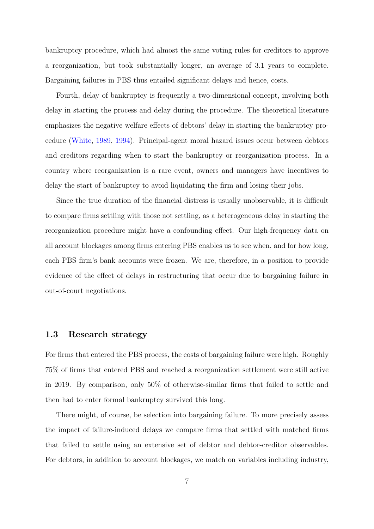bankruptcy procedure, which had almost the same voting rules for creditors to approve a reorganization, but took substantially longer, an average of 3.1 years to complete. Bargaining failures in PBS thus entailed significant delays and hence, costs.

Fourth, delay of bankruptcy is frequently a two-dimensional concept, involving both delay in starting the process and delay during the procedure. The theoretical literature emphasizes the negative welfare effects of debtors' delay in starting the bankruptcy procedure (White, 1989, 1994). Principal-agent moral hazard issues occur between debtors and creditors regarding when to start the bankruptcy or reorganization process. In a country where reorganization is a rare event, owners and managers have incentives to delay the start of bankruptcy to avoid liquidating the firm and losing their jobs.

Since the true duration of the financial distress is usually unobservable, it is difficult to compare firms settling with those not settling, as a heterogeneous delay in starting the reorganization procedure might have a confounding effect. Our high-frequency data on all account blockages among firms entering PBS enables us to see when, and for how long, each PBS firm's bank accounts were frozen. We are, therefore, in a position to provide evidence of the effect of delays in restructuring that occur due to bargaining failure in out-of-court negotiations.

# 1.3 Research strategy

For firms that entered the PBS process, the costs of bargaining failure were high. Roughly 75% of firms that entered PBS and reached a reorganization settlement were still active in 2019. By comparison, only 50% of otherwise-similar firms that failed to settle and then had to enter formal bankruptcy survived this long.

There might, of course, be selection into bargaining failure. To more precisely assess the impact of failure-induced delays we compare firms that settled with matched firms that failed to settle using an extensive set of debtor and debtor-creditor observables. For debtors, in addition to account blockages, we match on variables including industry,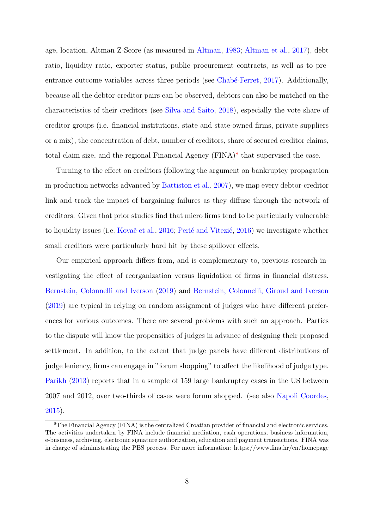age, location, Altman Z-Score (as measured in Altman, 1983; Altman et al., 2017), debt ratio, liquidity ratio, exporter status, public procurement contracts, as well as to preentrance outcome variables across three periods (see Chabé-Ferret, 2017). Additionally, because all the debtor-creditor pairs can be observed, debtors can also be matched on the characteristics of their creditors (see Silva and Saito, 2018), especially the vote share of creditor groups (i.e. financial institutions, state and state-owned firms, private suppliers or a mix), the concentration of debt, number of creditors, share of secured creditor claims, total claim size, and the regional Financial Agency  $(FINA)^8$  that supervised the case.

Turning to the effect on creditors (following the argument on bankruptcy propagation in production networks advanced by Battiston et al., 2007), we map every debtor-creditor link and track the impact of bargaining failures as they diffuse through the network of creditors. Given that prior studies find that micro firms tend to be particularly vulnerable to liquidity issues (i.e. Kovač et al., 2016; Perić and Vitezić, 2016) we investigate whether small creditors were particularly hard hit by these spillover effects.

Our empirical approach differs from, and is complementary to, previous research investigating the effect of reorganization versus liquidation of firms in financial distress. Bernstein, Colonnelli and Iverson (2019) and Bernstein, Colonnelli, Giroud and Iverson (2019) are typical in relying on random assignment of judges who have different preferences for various outcomes. There are several problems with such an approach. Parties to the dispute will know the propensities of judges in advance of designing their proposed settlement. In addition, to the extent that judge panels have different distributions of judge leniency, firms can engage in "forum shopping" to affect the likelihood of judge type. Parikh (2013) reports that in a sample of 159 large bankruptcy cases in the US between 2007 and 2012, over two-thirds of cases were forum shopped. (see also Napoli Coordes, 2015).

<sup>8</sup>The Financial Agency (FINA) is the centralized Croatian provider of financial and electronic services. The activities undertaken by FINA include financial mediation, cash operations, business information, e-business, archiving, electronic signature authorization, education and payment transactions. FINA was in charge of administrating the PBS process. For more information: https://www.fina.hr/en/homepage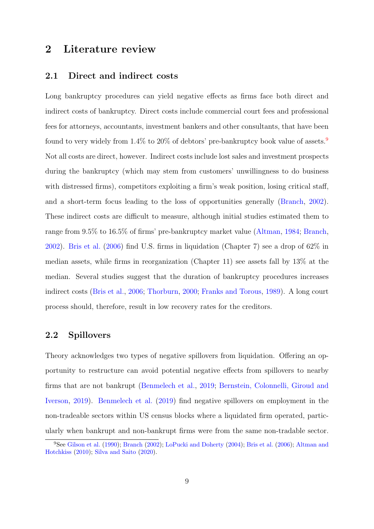# 2 Literature review

## 2.1 Direct and indirect costs

Long bankruptcy procedures can yield negative effects as firms face both direct and indirect costs of bankruptcy. Direct costs include commercial court fees and professional fees for attorneys, accountants, investment bankers and other consultants, that have been found to very widely from  $1.4\%$  to  $20\%$  of debtors' pre-bankruptcy book value of assets.<sup>9</sup> Not all costs are direct, however. Indirect costs include lost sales and investment prospects during the bankruptcy (which may stem from customers' unwillingness to do business with distressed firms), competitors exploiting a firm's weak position, losing critical staff, and a short-term focus leading to the loss of opportunities generally (Branch, 2002). These indirect costs are difficult to measure, although initial studies estimated them to range from 9.5% to 16.5% of firms' pre-bankruptcy market value (Altman, 1984; Branch, 2002). Bris et al. (2006) find U.S. firms in liquidation (Chapter 7) see a drop of 62% in median assets, while firms in reorganization (Chapter 11) see assets fall by 13% at the median. Several studies suggest that the duration of bankruptcy procedures increases indirect costs (Bris et al., 2006; Thorburn, 2000; Franks and Torous, 1989). A long court process should, therefore, result in low recovery rates for the creditors.

## 2.2 Spillovers

Theory acknowledges two types of negative spillovers from liquidation. Offering an opportunity to restructure can avoid potential negative effects from spillovers to nearby firms that are not bankrupt (Benmelech et al., 2019; Bernstein, Colonnelli, Giroud and Iverson, 2019). Benmelech et al. (2019) find negative spillovers on employment in the non-tradeable sectors within US census blocks where a liquidated firm operated, particularly when bankrupt and non-bankrupt firms were from the same non-tradable sector.

<sup>&</sup>lt;sup>9</sup>See Gilson et al. (1990); Branch (2002); LoPucki and Doherty (2004); Bris et al. (2006); Altman and Hotchkiss (2010); Silva and Saito (2020).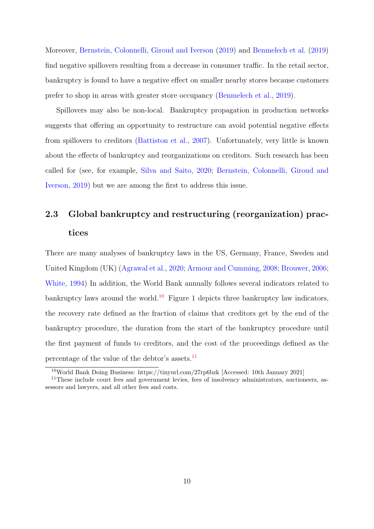Moreover, Bernstein, Colonnelli, Giroud and Iverson (2019) and Benmelech et al. (2019) find negative spillovers resulting from a decrease in consumer traffic. In the retail sector, bankruptcy is found to have a negative effect on smaller nearby stores because customers prefer to shop in areas with greater store occupancy (Benmelech et al., 2019).

Spillovers may also be non-local. Bankruptcy propagation in production networks suggests that offering an opportunity to restructure can avoid potential negative effects from spillovers to creditors (Battiston et al., 2007). Unfortunately, very little is known about the effects of bankruptcy and reorganizations on creditors. Such research has been called for (see, for example, Silva and Saito, 2020; Bernstein, Colonnelli, Giroud and Iverson, 2019) but we are among the first to address this issue.

# 2.3 Global bankruptcy and restructuring (reorganization) practices

There are many analyses of bankruptcy laws in the US, Germany, France, Sweden and United Kingdom (UK) (Agrawal et al., 2020; Armour and Cumming, 2008; Brouwer, 2006; White, 1994) In addition, the World Bank annually follows several indicators related to bankruptcy laws around the world.<sup>10</sup> Figure 1 depicts three bankruptcy law indicators, the recovery rate defined as the fraction of claims that creditors get by the end of the bankruptcy procedure, the duration from the start of the bankruptcy procedure until the first payment of funds to creditors, and the cost of the proceedings defined as the percentage of the value of the debtor's assets. $^{11}$ 

<sup>10</sup>World Bank Doing Business: https://tinyurl.com/27rp6bzk [Accessed: 10th January 2021]

<sup>&</sup>lt;sup>11</sup>These include court fees and government levies, fees of insolvency administrators, auctioneers, assessors and lawyers, and all other fees and costs.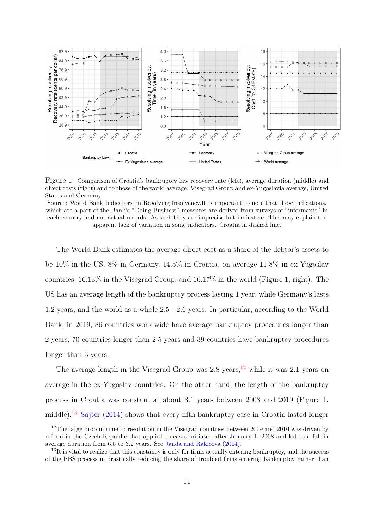

Figure 1: Comparison of Croatia's bankruptcy law recovery rate (left), average duration (middle) and direct costs (right) and to those of the world average, Visegrad Group and ex-Yugoslavia average, United States and Germany

The World Bank estimates the average direct cost as a share of the debtor's assets to be 10% in the US, 8% in Germany, 14.5% in Croatia, on average 11.8% in ex-Yugoslav countries, 16.13% in the Visegrad Group, and 16.17% in the world (Figure 1, right). The US has an average length of the bankruptcy process lasting 1 year, while Germany's lasts 1.2 years, and the world as a whole 2.5 - 2.6 years. In particular, according to the World Bank, in 2019, 86 countries worldwide have average bankruptcy procedures longer than 2 years, 70 countries longer than 2.5 years and 39 countries have bankruptcy procedures longer than 3 years.

The average length in the Visegrad Group was  $2.8$  years,  $12$  while it was  $2.1$  years on average in the ex-Yugoslav countries. On the other hand, the length of the bankruptcy process in Croatia was constant at about 3.1 years between 2003 and 2019 (Figure 1, middle).<sup>13</sup> Sajter (2014) shows that every fifth bankruptcy case in Croatia lasted longer

Source: World Bank Indicators on Resolving Insolvency.It is important to note that these indications, which are a part of the Bank's "Doing Business" measures are derived from surveys of "informants" in each country and not actual records. As such they are imprecise but indicative. This may explain the apparent lack of variation in some indicators. Croatia in dashed line.

<sup>&</sup>lt;sup>12</sup>The large drop in time to resolution in the Visegrad countries between 2009 and 2010 was driven by reform in the Czech Republic that applied to cases initiated after January 1, 2008 and led to a fall in average duration from 6.5 to 3.2 years. See Janda and Rakicova (2014).

 $13$ It is vital to realize that this constancy is only for firms actually entering bankruptcy, and the success of the PBS process in drastically reducing the share of troubled firms entering bankruptcy rather than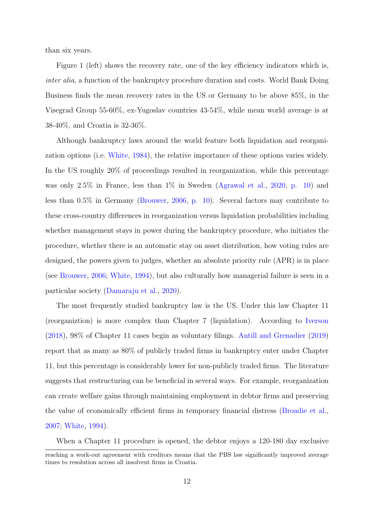than six years.

Figure 1 (left) shows the recovery rate, one of the key efficiency indicators which is, inter alia, a function of the bankruptcy procedure duration and costs. World Bank Doing Business finds the mean recovery rates in the US or Germany to be above 85%, in the Visegrad Group 55-60%, ex-Yugoslav countries 43-54%, while mean world average is at 38-40%, and Croatia is 32-36%.

Although bankruptcy laws around the world feature both liquidation and reorganization options (i.e. White, 1984), the relative importance of these options varies widely. In the US roughly 20% of proceedings resulted in reorganization, while this percentage was only 2.5% in France, less than 1% in Sweden (Agrawal et al., 2020, p. 10) and less than 0.5% in Germany (Brouwer, 2006, p. 10). Several factors may contribute to these cross-country differences in reorganization versus liquidation probabilities including whether management stays in power during the bankruptcy procedure, who initiates the procedure, whether there is an automatic stay on asset distribution, how voting rules are designed, the powers given to judges, whether an absolute priority rule (APR) is in place (see Brouwer, 2006; White, 1994), but also culturally how managerial failure is seen in a particular society (Damaraju et al., 2020).

The most frequently studied bankruptcy law is the US. Under this law Chapter 11 (reorganiztion) is more complex than Chapter 7 (liquidation). According to Iverson (2018), 98% of Chapter 11 cases begin as voluntary filings. Antill and Grenadier (2019) report that as many as 80% of publicly traded firms in bankruptcy enter under Chapter 11, but this percentage is considerably lower for non-publicly traded firms. The literature suggests that restructuring can be beneficial in several ways. For example, reorganization can create welfare gains through maintaining employment in debtor firms and preserving the value of economically efficient firms in temporary financial distress (Broadie et al., 2007; White, 1994).

When a Chapter 11 procedure is opened, the debtor enjoys a 120-180 day exclusive

reaching a work-out agreement with creditors means that the PBS law significantly improved average times to resolution across all insolvent firms in Croatia.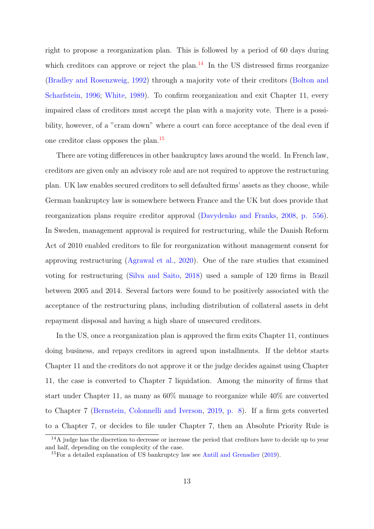right to propose a reorganization plan. This is followed by a period of 60 days during which creditors can approve or reject the plan.<sup>14</sup> In the US distressed firms reorganize (Bradley and Rosenzweig, 1992) through a majority vote of their creditors (Bolton and Scharfstein, 1996; White, 1989). To confirm reorganization and exit Chapter 11, every impaired class of creditors must accept the plan with a majority vote. There is a possibility, however, of a "cram down" where a court can force acceptance of the deal even if one creditor class opposes the plan.<sup>15</sup>

There are voting differences in other bankruptcy laws around the world. In French law, creditors are given only an advisory role and are not required to approve the restructuring plan. UK law enables secured creditors to sell defaulted firms' assets as they choose, while German bankruptcy law is somewhere between France and the UK but does provide that reorganization plans require creditor approval (Davydenko and Franks, 2008, p. 556). In Sweden, management approval is required for restructuring, while the Danish Reform Act of 2010 enabled creditors to file for reorganization without management consent for approving restructuring (Agrawal et al., 2020). One of the rare studies that examined voting for restructuring (Silva and Saito, 2018) used a sample of 120 firms in Brazil between 2005 and 2014. Several factors were found to be positively associated with the acceptance of the restructuring plans, including distribution of collateral assets in debt repayment disposal and having a high share of unsecured creditors.

In the US, once a reorganization plan is approved the firm exits Chapter 11, continues doing business, and repays creditors in agreed upon installments. If the debtor starts Chapter 11 and the creditors do not approve it or the judge decides against using Chapter 11, the case is converted to Chapter 7 liquidation. Among the minority of firms that start under Chapter 11, as many as 60% manage to reorganize while 40% are converted to Chapter 7 (Bernstein, Colonnelli and Iverson, 2019, p. 8). If a firm gets converted to a Chapter 7, or decides to file under Chapter 7, then an Absolute Priority Rule is

<sup>&</sup>lt;sup>14</sup>A judge has the discretion to decrease or increase the period that creditors have to decide up to year and half, depending on the complexity of the case.

<sup>&</sup>lt;sup>15</sup>For a detailed explanation of US bankruptcy law see Antill and Grenadier (2019).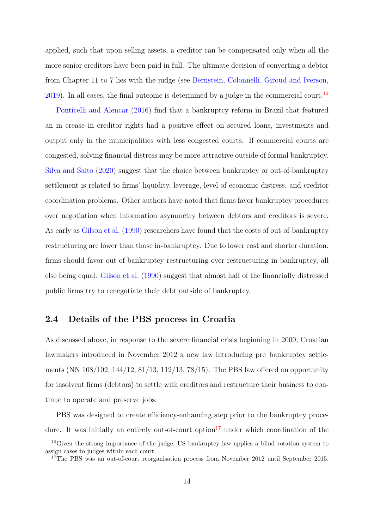applied, such that upon selling assets, a creditor can be compensated only when all the more senior creditors have been paid in full. The ultimate decision of converting a debtor from Chapter 11 to 7 lies with the judge (see Bernstein, Colonnelli, Giroud and Iverson, 2019). In all cases, the final outcome is determined by a judge in the commercial court.<sup>16</sup>

Ponticelli and Alencar (2016) find that a bankruptcy reform in Brazil that featured an in crease in creditor rights had a positive effect on secured loans, investments and output only in the municipalities with less congested courts. If commercial courts are congested, solving financial distress may be more attractive outside of formal bankruptcy. Silva and Saito (2020) suggest that the choice between bankruptcy or out-of-bankruptcy settlement is related to firms' liquidity, leverage, level of economic distress, and creditor coordination problems. Other authors have noted that firms favor bankruptcy procedures over negotiation when information asymmetry between debtors and creditors is severe. As early as Gilson et al. (1990) researchers have found that the costs of out-of-bankruptcy restructuring are lower than those in-bankruptcy. Due to lower cost and shorter duration, firms should favor out-of-bankruptcy restructuring over restructuring in bankruptcy, all else being equal. Gilson et al. (1990) suggest that almost half of the financially distressed public firms try to renegotiate their debt outside of bankruptcy.

# 2.4 Details of the PBS process in Croatia

As discussed above, in response to the severe financial crisis beginning in 2009, Croatian lawmakers introduced in November 2012 a new law introducing pre–bankruptcy settlements (NN 108/102, 144/12, 81/13, 112/13, 78/15). The PBS law offered an opportunity for insolvent firms (debtors) to settle with creditors and restructure their business to continue to operate and preserve jobs.

PBS was designed to create efficiency-enhancing step prior to the bankruptcy procedure. It was initially an entirely out-of-court option<sup>17</sup> under which coordination of the

<sup>&</sup>lt;sup>16</sup>Given the strong importance of the judge, US bankruptcy law applies a blind rotation system to assign cases to judges within each court.

<sup>&</sup>lt;sup>17</sup>The PBS was an out-of-court reorganisation process from November 2012 until September 2015.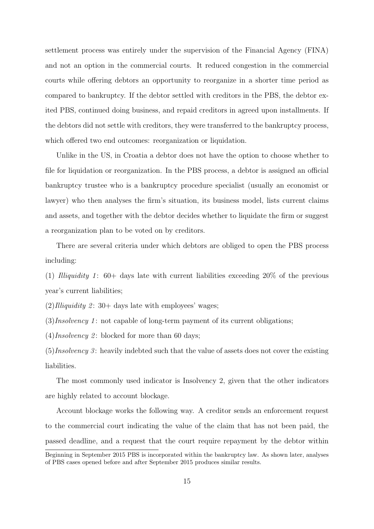settlement process was entirely under the supervision of the Financial Agency (FINA) and not an option in the commercial courts. It reduced congestion in the commercial courts while offering debtors an opportunity to reorganize in a shorter time period as compared to bankruptcy. If the debtor settled with creditors in the PBS, the debtor exited PBS, continued doing business, and repaid creditors in agreed upon installments. If the debtors did not settle with creditors, they were transferred to the bankruptcy process, which offered two end outcomes: reorganization or liquidation.

Unlike in the US, in Croatia a debtor does not have the option to choose whether to file for liquidation or reorganization. In the PBS process, a debtor is assigned an official bankruptcy trustee who is a bankruptcy procedure specialist (usually an economist or lawyer) who then analyses the firm's situation, its business model, lists current claims and assets, and together with the debtor decides whether to liquidate the firm or suggest a reorganization plan to be voted on by creditors.

There are several criteria under which debtors are obliged to open the PBS process including:

(1) Illiquidity 1: 60+ days late with current liabilities exceeding  $20\%$  of the previous year's current liabilities;

 $(2)$ *Illiquidity*  $2: 30+$  days late with employees' wages;

 $(3)$ *Insolvency* 1: not capable of long-term payment of its current obligations;

 $(4)$ *Insolvency* 2: blocked for more than 60 days;

 $(5)$ *Insolvency* 3: heavily indebted such that the value of assets does not cover the existing liabilities.

The most commonly used indicator is Insolvency 2, given that the other indicators are highly related to account blockage.

Account blockage works the following way. A creditor sends an enforcement request to the commercial court indicating the value of the claim that has not been paid, the passed deadline, and a request that the court require repayment by the debtor within

Beginning in September 2015 PBS is incorporated within the bankruptcy law. As shown later, analyses of PBS cases opened before and after September 2015 produces similar results.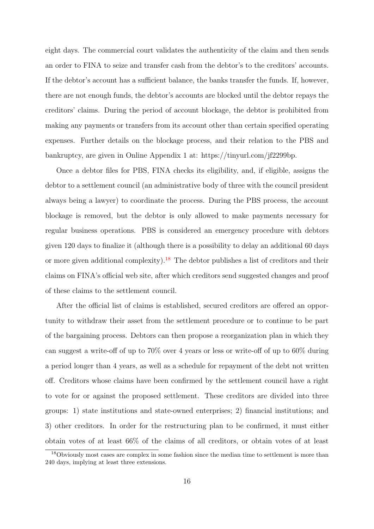eight days. The commercial court validates the authenticity of the claim and then sends an order to FINA to seize and transfer cash from the debtor's to the creditors' accounts. If the debtor's account has a sufficient balance, the banks transfer the funds. If, however, there are not enough funds, the debtor's accounts are blocked until the debtor repays the creditors' claims. During the period of account blockage, the debtor is prohibited from making any payments or transfers from its account other than certain specified operating expenses. Further details on the blockage process, and their relation to the PBS and bankruptcy, are given in Online Appendix 1 at: https://tinyurl.com/jf2299bp.

Once a debtor files for PBS, FINA checks its eligibility, and, if eligible, assigns the debtor to a settlement council (an administrative body of three with the council president always being a lawyer) to coordinate the process. During the PBS process, the account blockage is removed, but the debtor is only allowed to make payments necessary for regular business operations. PBS is considered an emergency procedure with debtors given 120 days to finalize it (although there is a possibility to delay an additional 60 days or more given additional complexity).<sup>18</sup> The debtor publishes a list of creditors and their claims on FINA's official web site, after which creditors send suggested changes and proof of these claims to the settlement council.

After the official list of claims is established, secured creditors are offered an opportunity to withdraw their asset from the settlement procedure or to continue to be part of the bargaining process. Debtors can then propose a reorganization plan in which they can suggest a write-off of up to 70% over 4 years or less or write-off of up to 60% during a period longer than 4 years, as well as a schedule for repayment of the debt not written off. Creditors whose claims have been confirmed by the settlement council have a right to vote for or against the proposed settlement. These creditors are divided into three groups: 1) state institutions and state-owned enterprises; 2) financial institutions; and 3) other creditors. In order for the restructuring plan to be confirmed, it must either obtain votes of at least 66% of the claims of all creditors, or obtain votes of at least

<sup>18</sup>Obviously most cases are complex in some fashion since the median time to settlement is more than 240 days, implying at least three extensions.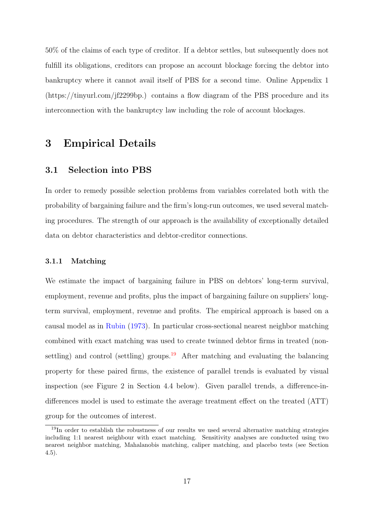50% of the claims of each type of creditor. If a debtor settles, but subsequently does not fulfill its obligations, creditors can propose an account blockage forcing the debtor into bankruptcy where it cannot avail itself of PBS for a second time. Online Appendix 1 (https://tinyurl.com/jf2299bp.) contains a flow diagram of the PBS procedure and its interconnection with the bankruptcy law including the role of account blockages.

# 3 Empirical Details

# 3.1 Selection into PBS

In order to remedy possible selection problems from variables correlated both with the probability of bargaining failure and the firm's long-run outcomes, we used several matching procedures. The strength of our approach is the availability of exceptionally detailed data on debtor characteristics and debtor-creditor connections.

#### 3.1.1 Matching

We estimate the impact of bargaining failure in PBS on debtors' long-term survival, employment, revenue and profits, plus the impact of bargaining failure on suppliers' longterm survival, employment, revenue and profits. The empirical approach is based on a causal model as in Rubin (1973). In particular cross-sectional nearest neighbor matching combined with exact matching was used to create twinned debtor firms in treated (nonsettling) and control (settling) groups.<sup>19</sup> After matching and evaluating the balancing property for these paired firms, the existence of parallel trends is evaluated by visual inspection (see Figure 2 in Section 4.4 below). Given parallel trends, a difference-indifferences model is used to estimate the average treatment effect on the treated (ATT) group for the outcomes of interest.

<sup>19</sup>In order to establish the robustness of our results we used several alternative matching strategies including 1:1 nearest neighbour with exact matching. Sensitivity analyses are conducted using two nearest neighbor matching, Mahalanobis matching, caliper matching, and placebo tests (see Section 4.5).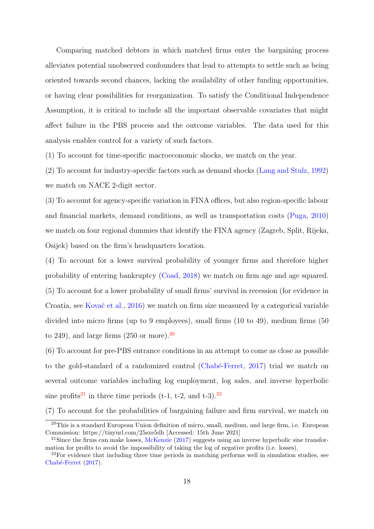Comparing matched debtors in which matched firms enter the bargaining process alleviates potential unobserved confounders that lead to attempts to settle such as being oriented towards second chances, lacking the availability of other funding opportunities, or having clear possibilities for reorganization. To satisfy the Conditional Independence Assumption, it is critical to include all the important observable covariates that might affect failure in the PBS process and the outcome variables. The data used for this analysis enables control for a variety of such factors.

(1) To account for time-specific macroeconomic shocks, we match on the year.

(2) To account for industry-specific factors such as demand shocks (Lang and Stulz, 1992) we match on NACE 2-digit sector.

(3) To account for agency-specific variation in FINA offices, but also region-specific labour and financial markets, demand conditions, as well as transportation costs (Puga, 2010) we match on four regional dummies that identify the FINA agency (Zagreb, Split, Rijeka, Osijek) based on the firm's headquarters location.

(4) To account for a lower survival probability of younger firms and therefore higher probability of entering bankruptcy (Coad, 2018) we match on firm age and age squared. (5) To account for a lower probability of small firms' survival in recession (for evidence in Croatia, see Kovač et al., 2016) we match on firm size measured by a categorical variable divided into micro firms (up to 9 employees), small firms (10 to 49), medium firms (50 to 249), and large firms  $(250 \text{ or more})$ .

(6) To account for pre-PBS entrance conditions in an attempt to come as close as possible to the gold-standard of a randomized control (Chabé-Ferret, 2017) trial we match on several outcome variables including log employment, log sales, and inverse hyperbolic sine profits<sup>21</sup> in three time periods (t-1, t-2, and t-3).<sup>22</sup>

(7) To account for the probabilities of bargaining failure and firm survival, we match on

 $20$ This is a standard European Union definition of micro, small, medium, and large firm, i.e. European Commission: https://tinyurl.com/25sxe5dh [Accessed: 15th June 2021]

 $21$ Since the firms can make losses, McKenzie (2017) suggests using an inverse hyperbolic sine transformation for profits to avoid the impossibility of taking the log of negative profits (i.e. losses).

 $22$ For evidence that including three time periods in matching performs well in simulation studies, see  $Chabé-Ferret (2017).$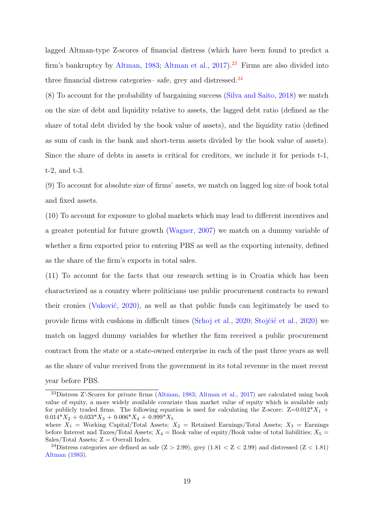lagged Altman-type Z-scores of financial distress (which have been found to predict a firm's bankruptcy by Altman, 1983; Altman et al.,  $2017$ <sup>23</sup> Firms are also divided into three financial distress categories– safe, grey and distressed. $^{24}$ 

(8) To account for the probability of bargaining success (Silva and Saito, 2018) we match on the size of debt and liquidity relative to assets, the lagged debt ratio (defined as the share of total debt divided by the book value of assets), and the liquidity ratio (defined as sum of cash in the bank and short-term assets divided by the book value of assets). Since the share of debts in assets is critical for creditors, we include it for periods t-1, t-2, and t-3.

(9) To account for absolute size of firms' assets, we match on lagged log size of book total and fixed assets.

(10) To account for exposure to global markets which may lead to different incentives and a greater potential for future growth (Wagner, 2007) we match on a dummy variable of whether a firm exported prior to entering PBS as well as the exporting intensity, defined as the share of the firm's exports in total sales.

(11) To account for the facts that our research setting is in Croatia which has been characterized as a country where politicians use public procurement contracts to reward their cronies (Vuković, 2020), as well as that public funds can legitimately be used to provide firms with cushions in difficult times (Srhoj et al., 2020; Stojčić et al., 2020) we match on lagged dummy variables for whether the firm received a public procurement contract from the state or a state-owned enterprise in each of the past three years as well as the share of value received from the government in its total revenue in the most recent year before PBS.

<sup>23</sup>Distress Z'-Scores for private firms (Altman, 1983; Altman et al., 2017) are calculated using book value of equity, a more widely available covariate than market value of equity which is available only for publicly traded firms. The following equation is used for calculating the Z-score:  $Z=0.012^*X_1$  +  $0.014^*X_2 + 0.033^*X_3 + 0.006^*X_4 + 0.999^*X_5$ 

where  $X_1$  = Working Capital/Total Assets;  $X_2$  = Retained Earnings/Total Assets;  $X_3$  = Earnings before Interest and Taxes/Total Assets;  $X_4$  = Book value of equity/Book value of total liabilities;  $X_5$  = Sales/Total Assets;  $Z =$  Overall Index.

<sup>&</sup>lt;sup>24</sup>Distress categories are defined as safe  $(Z > 2.99)$ , grey  $(1.81 < Z < 2.99)$  and distressed  $(Z < 1.81)$ Altman (1983).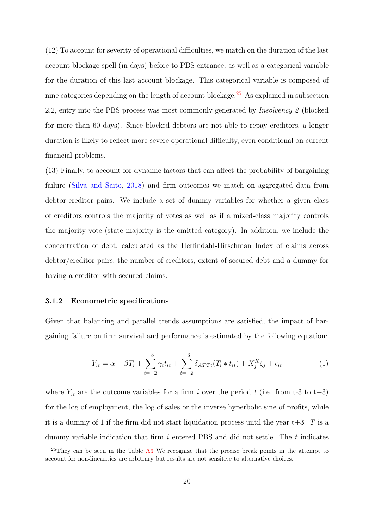(12) To account for severity of operational difficulties, we match on the duration of the last account blockage spell (in days) before to PBS entrance, as well as a categorical variable for the duration of this last account blockage. This categorical variable is composed of nine categories depending on the length of account blockage. <sup>25</sup> As explained in subsection 2.2, entry into the PBS process was most commonly generated by Insolvency 2 (blocked for more than 60 days). Since blocked debtors are not able to repay creditors, a longer duration is likely to reflect more severe operational difficulty, even conditional on current financial problems.

(13) Finally, to account for dynamic factors that can affect the probability of bargaining failure (Silva and Saito, 2018) and firm outcomes we match on aggregated data from debtor-creditor pairs. We include a set of dummy variables for whether a given class of creditors controls the majority of votes as well as if a mixed-class majority controls the majority vote (state majority is the omitted category). In addition, we include the concentration of debt, calculated as the Herfindahl-Hirschman Index of claims across debtor/creditor pairs, the number of creditors, extent of secured debt and a dummy for having a creditor with secured claims.

#### 3.1.2 Econometric specifications

Given that balancing and parallel trends assumptions are satisfied, the impact of bargaining failure on firm survival and performance is estimated by the following equation:

$$
Y_{it} = \alpha + \beta T_i + \sum_{t=-2}^{+3} \gamma_t t_{it} + \sum_{t=-2}^{+3} \delta_{ATTt}(T_i * t_{it}) + X_j^K \zeta_j + \epsilon_{it}
$$
 (1)

where  $Y_{it}$  are the outcome variables for a firm i over the period t (i.e. from t-3 to t+3) for the log of employment, the log of sales or the inverse hyperbolic sine of profits, while it is a dummy of 1 if the firm did not start liquidation process until the year  $t+3$ . T is a dummy variable indication that firm  $i$  entered PBS and did not settle. The  $t$  indicates

<sup>&</sup>lt;sup>25</sup>They can be seen in the Table  $\overline{A}3$  We recognize that the precise break points in the attempt to account for non-linearities are arbitrary but results are not sensitive to alternative choices.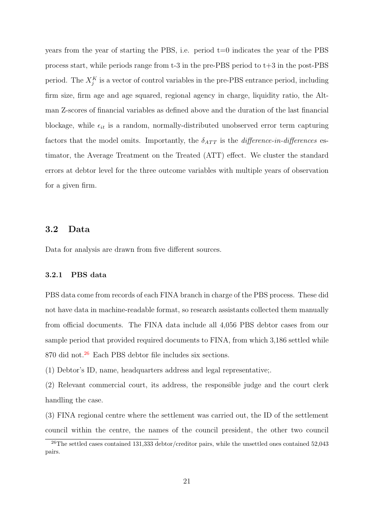years from the year of starting the PBS, i.e. period t=0 indicates the year of the PBS process start, while periods range from  $t-3$  in the pre-PBS period to  $t+3$  in the post-PBS period. The  $X_j^K$  is a vector of control variables in the pre-PBS entrance period, including firm size, firm age and age squared, regional agency in charge, liquidity ratio, the Altman Z-scores of financial variables as defined above and the duration of the last financial blockage, while  $\epsilon_{it}$  is a random, normally-distributed unobserved error term capturing factors that the model omits. Importantly, the  $\delta_{ATT}$  is the *difference-in-differences* estimator, the Average Treatment on the Treated (ATT) effect. We cluster the standard errors at debtor level for the three outcome variables with multiple years of observation for a given firm.

#### 3.2 Data

Data for analysis are drawn from five different sources.

#### 3.2.1 PBS data

PBS data come from records of each FINA branch in charge of the PBS process. These did not have data in machine-readable format, so research assistants collected them manually from official documents. The FINA data include all 4,056 PBS debtor cases from our sample period that provided required documents to FINA, from which 3,186 settled while 870 did not.<sup>26</sup> Each PBS debtor file includes six sections.

(1) Debtor's ID, name, headquarters address and legal representative;.

(2) Relevant commercial court, its address, the responsible judge and the court clerk handling the case.

(3) FINA regional centre where the settlement was carried out, the ID of the settlement council within the centre, the names of the council president, the other two council

<sup>&</sup>lt;sup>26</sup>The settled cases contained 131,333 debtor/creditor pairs, while the unsettled ones contained 52,043 pairs.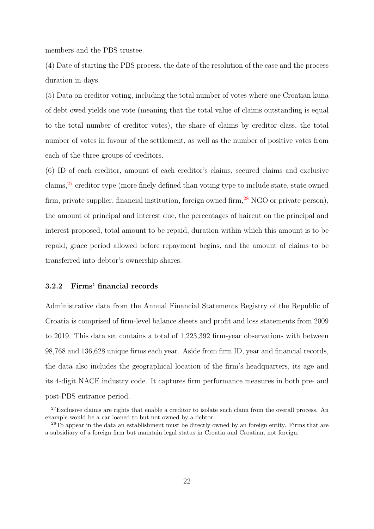members and the PBS trustee.

(4) Date of starting the PBS process, the date of the resolution of the case and the process duration in days.

(5) Data on creditor voting, including the total number of votes where one Croatian kuna of debt owed yields one vote (meaning that the total value of claims outstanding is equal to the total number of creditor votes), the share of claims by creditor class, the total number of votes in favour of the settlement, as well as the number of positive votes from each of the three groups of creditors.

(6) ID of each creditor, amount of each creditor's claims, secured claims and exclusive claims,  $27$  creditor type (more finely defined than voting type to include state, state owned firm, private supplier, financial institution, foreign owned firm,  $^{28}$  NGO or private person), the amount of principal and interest due, the percentages of haircut on the principal and interest proposed, total amount to be repaid, duration within which this amount is to be repaid, grace period allowed before repayment begins, and the amount of claims to be transferred into debtor's ownership shares.

#### 3.2.2 Firms' financial records

Administrative data from the Annual Financial Statements Registry of the Republic of Croatia is comprised of firm-level balance sheets and profit and loss statements from 2009 to 2019. This data set contains a total of 1,223,392 firm-year observations with between 98,768 and 136,628 unique firms each year. Aside from firm ID, year and financial records, the data also includes the geographical location of the firm's headquarters, its age and its 4-digit NACE industry code. It captures firm performance measures in both pre- and post-PBS entrance period.

 $27$ Exclusive claims are rights that enable a creditor to isolate such claim from the overall process. An example would be a car loaned to but not owned by a debtor.

<sup>&</sup>lt;sup>28</sup>To appear in the data an establishment must be directly owned by an foreign entity. Firms that are a subsidiary of a foreign firm but maintain legal status in Croatia and Croatian, not foreign.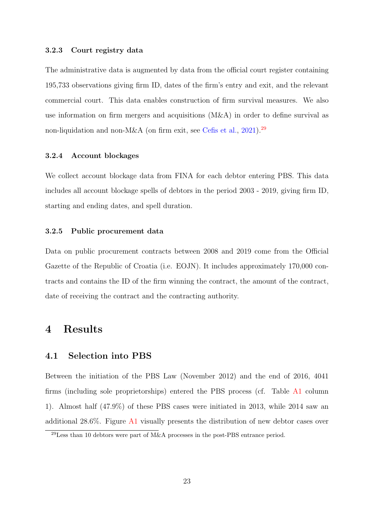#### 3.2.3 Court registry data

The administrative data is augmented by data from the official court register containing 195,733 observations giving firm ID, dates of the firm's entry and exit, and the relevant commercial court. This data enables construction of firm survival measures. We also use information on firm mergers and acquisitions (M&A) in order to define survival as non-liquidation and non-M&A (on firm exit, see Cefis et al., 2021).<sup>29</sup>

## 3.2.4 Account blockages

We collect account blockage data from FINA for each debtor entering PBS. This data includes all account blockage spells of debtors in the period 2003 - 2019, giving firm ID, starting and ending dates, and spell duration.

#### 3.2.5 Public procurement data

Data on public procurement contracts between 2008 and 2019 come from the Official Gazette of the Republic of Croatia (i.e. EOJN). It includes approximately 170,000 contracts and contains the ID of the firm winning the contract, the amount of the contract, date of receiving the contract and the contracting authority.

# 4 Results

### 4.1 Selection into PBS

Between the initiation of the PBS Law (November 2012) and the end of 2016, 4041 firms (including sole proprietorships) entered the PBS process (cf. Table A1 column 1). Almost half (47.9%) of these PBS cases were initiated in 2013, while 2014 saw an additional 28.6%. Figure A1 visually presents the distribution of new debtor cases over

 $^{29}$ Less than 10 debtors were part of M&A processes in the post-PBS entrance period.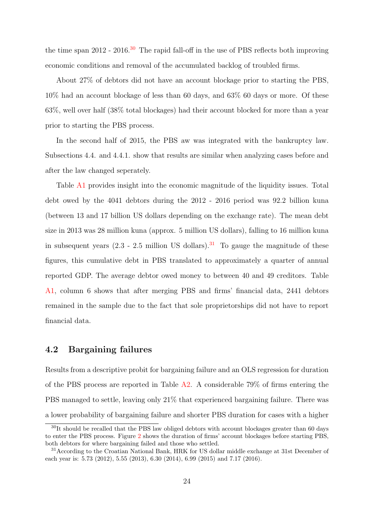the time span 2012 - 2016.<sup>30</sup> The rapid fall-off in the use of PBS reflects both improving economic conditions and removal of the accumulated backlog of troubled firms.

About 27% of debtors did not have an account blockage prior to starting the PBS, 10% had an account blockage of less than 60 days, and 63% 60 days or more. Of these 63%, well over half (38% total blockages) had their account blocked for more than a year prior to starting the PBS process.

In the second half of 2015, the PBS aw was integrated with the bankruptcy law. Subsections 4.4. and 4.4.1. show that results are similar when analyzing cases before and after the law changed seperately.

Table A1 provides insight into the economic magnitude of the liquidity issues. Total debt owed by the 4041 debtors during the 2012 - 2016 period was 92.2 billion kuna (between 13 and 17 billion US dollars depending on the exchange rate). The mean debt size in 2013 was 28 million kuna (approx. 5 million US dollars), falling to 16 million kuna in subsequent years  $(2.3 - 2.5$  million US dollars).<sup>31</sup> To gauge the magnitude of these figures, this cumulative debt in PBS translated to approximately a quarter of annual reported GDP. The average debtor owed money to between 40 and 49 creditors. Table A1, column 6 shows that after merging PBS and firms' financial data, 2441 debtors remained in the sample due to the fact that sole proprietorships did not have to report financial data.

## 4.2 Bargaining failures

Results from a descriptive probit for bargaining failure and an OLS regression for duration of the PBS process are reported in Table A2. A considerable 79% of firms entering the PBS managed to settle, leaving only 21% that experienced bargaining failure. There was a lower probability of bargaining failure and shorter PBS duration for cases with a higher

<sup>&</sup>lt;sup>30</sup>It should be recalled that the PBS law obliged debtors with account blockages greater than 60 days to enter the PBS process. Figure 2 shows the duration of firms' account blockages before starting PBS, both debtors for where bargaining failed and those who settled.

<sup>31</sup>According to the Croatian National Bank, HRK for US dollar middle exchange at 31st December of each year is: 5.73 (2012), 5.55 (2013), 6.30 (2014), 6.99 (2015) and 7.17 (2016).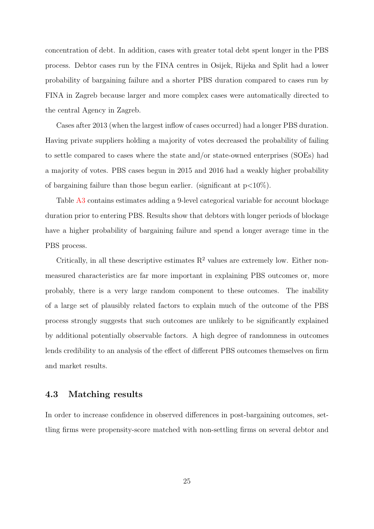concentration of debt. In addition, cases with greater total debt spent longer in the PBS process. Debtor cases run by the FINA centres in Osijek, Rijeka and Split had a lower probability of bargaining failure and a shorter PBS duration compared to cases run by FINA in Zagreb because larger and more complex cases were automatically directed to the central Agency in Zagreb.

Cases after 2013 (when the largest inflow of cases occurred) had a longer PBS duration. Having private suppliers holding a majority of votes decreased the probability of failing to settle compared to cases where the state and/or state-owned enterprises (SOEs) had a majority of votes. PBS cases begun in 2015 and 2016 had a weakly higher probability of bargaining failure than those begun earlier. (significant at  $p<10\%$ ).

Table A3 contains estimates adding a 9-level categorical variable for account blockage duration prior to entering PBS. Results show that debtors with longer periods of blockage have a higher probability of bargaining failure and spend a longer average time in the PBS process.

Critically, in all these descriptive estimates  $R^2$  values are extremely low. Either nonmeasured characteristics are far more important in explaining PBS outcomes or, more probably, there is a very large random component to these outcomes. The inability of a large set of plausibly related factors to explain much of the outcome of the PBS process strongly suggests that such outcomes are unlikely to be significantly explained by additional potentially observable factors. A high degree of randomness in outcomes lends credibility to an analysis of the effect of different PBS outcomes themselves on firm and market results.

## 4.3 Matching results

In order to increase confidence in observed differences in post-bargaining outcomes, settling firms were propensity-score matched with non-settling firms on several debtor and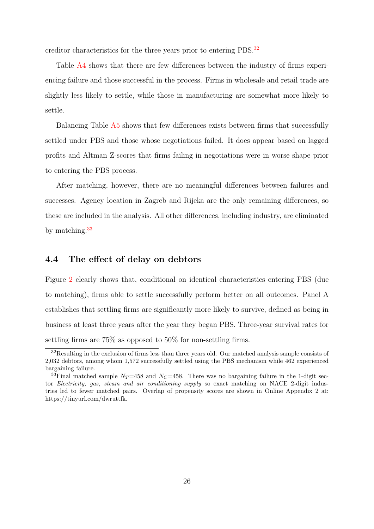creditor characteristics for the three years prior to entering PBS.<sup>32</sup>

Table A4 shows that there are few differences between the industry of firms experiencing failure and those successful in the process. Firms in wholesale and retail trade are slightly less likely to settle, while those in manufacturing are somewhat more likely to settle.

Balancing Table A5 shows that few differences exists between firms that successfully settled under PBS and those whose negotiations failed. It does appear based on lagged profits and Altman Z-scores that firms failing in negotiations were in worse shape prior to entering the PBS process.

After matching, however, there are no meaningful differences between failures and successes. Agency location in Zagreb and Rijeka are the only remaining differences, so these are included in the analysis. All other differences, including industry, are eliminated by matching.<sup>33</sup>

## 4.4 The effect of delay on debtors

Figure 2 clearly shows that, conditional on identical characteristics entering PBS (due to matching), firms able to settle successfully perform better on all outcomes. Panel A establishes that settling firms are significantly more likely to survive, defined as being in business at least three years after the year they began PBS. Three-year survival rates for settling firms are 75% as opposed to 50% for non-settling firms.

<sup>&</sup>lt;sup>32</sup>Resulting in the exclusion of firms less than three years old. Our matched analysis sample consists of 2,032 debtors, among whom 1,572 successfully settled using the PBS mechanism while 462 experienced bargaining failure.

<sup>&</sup>lt;sup>33</sup>Final matched sample  $N_T$ =458 and  $N_C$ =458. There was no bargaining failure in the 1-digit sector Electricity, gas, steam and air conditioning supply so exact matching on NACE 2-digit industries led to fewer matched pairs. Overlap of propensity scores are shown in Online Appendix 2 at: https://tinyurl.com/dwruttfk.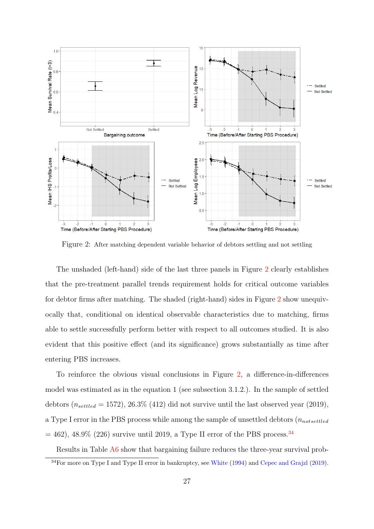

Figure 2: After matching dependent variable behavior of debtors settling and not settling

The unshaded (left-hand) side of the last three panels in Figure 2 clearly establishes that the pre-treatment parallel trends requirement holds for critical outcome variables for debtor firms after matching. The shaded (right-hand) sides in Figure 2 show unequivocally that, conditional on identical observable characteristics due to matching, firms able to settle successfully perform better with respect to all outcomes studied. It is also evident that this positive effect (and its significance) grows substantially as time after entering PBS increases.

To reinforce the obvious visual conclusions in Figure 2, a difference-in-differences model was estimated as in the equation 1 (see subsection 3.1.2.). In the sample of settled debtors ( $n_{settled} = 1572$ ), 26.3% (412) did not survive until the last observed year (2019), a Type I error in the PBS process while among the sample of unsettled debtors  $(n_{notsettled}$  $= 462$ , 48.9% (226) survive until 2019, a Type II error of the PBS process.<sup>34</sup>

Results in Table A6 show that bargaining failure reduces the three-year survival prob-

<sup>34</sup>For more on Type I and Type II error in bankruptcy, see White (1994) and Cepec and Grajzl (2019).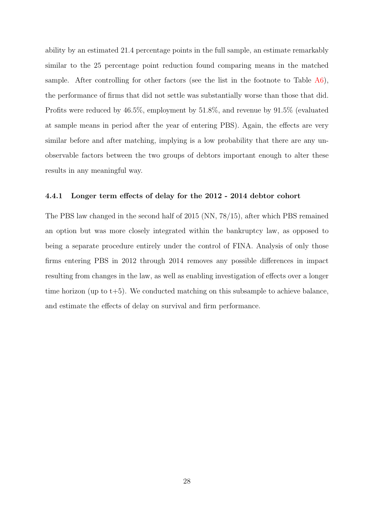ability by an estimated 21.4 percentage points in the full sample, an estimate remarkably similar to the 25 percentage point reduction found comparing means in the matched sample. After controlling for other factors (see the list in the footnote to Table  $A6$ ), the performance of firms that did not settle was substantially worse than those that did. Profits were reduced by 46.5%, employment by 51.8%, and revenue by 91.5% (evaluated at sample means in period after the year of entering PBS). Again, the effects are very similar before and after matching, implying is a low probability that there are any unobservable factors between the two groups of debtors important enough to alter these results in any meaningful way.

#### 4.4.1 Longer term effects of delay for the 2012 - 2014 debtor cohort

The PBS law changed in the second half of 2015 (NN, 78/15), after which PBS remained an option but was more closely integrated within the bankruptcy law, as opposed to being a separate procedure entirely under the control of FINA. Analysis of only those firms entering PBS in 2012 through 2014 removes any possible differences in impact resulting from changes in the law, as well as enabling investigation of effects over a longer time horizon (up to  $t+5$ ). We conducted matching on this subsample to achieve balance, and estimate the effects of delay on survival and firm performance.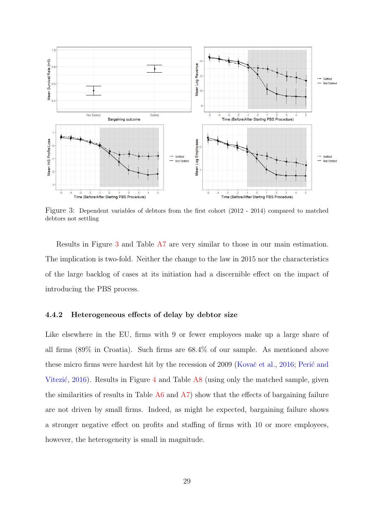

Figure 3: Dependent variables of debtors from the first cohort (2012 - 2014) compared to matched debtors not settling

Results in Figure 3 and Table A7 are very similar to those in our main estimation. The implication is two-fold. Neither the change to the law in 2015 nor the characteristics of the large backlog of cases at its initiation had a discernible effect on the impact of introducing the PBS process.

#### 4.4.2 Heterogeneous effects of delay by debtor size

Like elsewhere in the EU, firms with 9 or fewer employees make up a large share of all firms (89% in Croatia). Such firms are 68.4% of our sample. As mentioned above these micro firms were hardest hit by the recession of 2009 (Kovač et al., 2016; Perić and Vitezić, 2016). Results in Figure 4 and Table  $\overline{AB}$  (using only the matched sample, given the similarities of results in Table A6 and A7) show that the effects of bargaining failure are not driven by small firms. Indeed, as might be expected, bargaining failure shows a stronger negative effect on profits and staffing of firms with 10 or more employees, however, the heterogeneity is small in magnitude.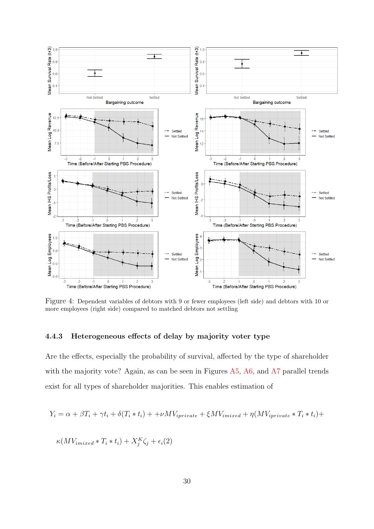

Figure 4: Dependent variables of debtors with 9 or fewer employees (left side) and debtors with 10 or more employees (right side) compared to matched debtors not settling

# 4.4.3 Heterogeneous effects of delay by majority voter type

Are the effects, especially the probability of survival, affected by the type of shareholder with the majority vote? Again, as can be seen in Figures A5, A6, and A7 parallel trends exist for all types of shareholder majorities. This enables estimation of

$$
Y_i = \alpha + \beta T_i + \gamma t_i + \delta (T_i * t_i) + + \nu M V_{iprivate} + \xi M V_{imixed} + \eta (M V_{iprivate} * T_i * t_i) +
$$

$$
\kappa(MV_{imixed}*T_i*t_i)+X_j^K\zeta_j+\epsilon_i(2)
$$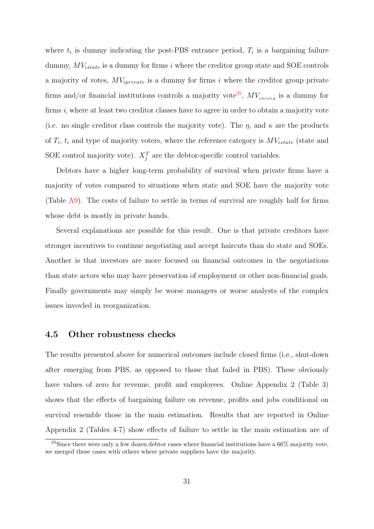where  $t_i$  is dummy indicating the post-PBS entrance period,  $T_i$  is a bargaining failure dummy,  $MV_{istate}$  is a dummy for firms i where the creditor group state and SOE controls a majority of votes,  $MV_{iprivate}$  is a dummy for firms i where the creditor group private firms and/or financial institutions controls a majority vote<sup>35</sup>,  $MV_{inixed}$  is a dummy for firms i, where at least two creditor classes have to agree in order to obtain a majority vote (i.e. no single creditor class controls the majority vote). The  $\eta$ , and  $\kappa$  are the products of  $T_i$ ,  $t_i$  and type of majority voters, where the reference category is  $MV_{istate}$  (state and SOE control majority vote).  $X_j^T$  are the debtor-specific control variables.

Debtors have a higher long-term probability of survival when private firms have a majority of votes compared to situations when state and SOE have the majority vote (Table A9). The costs of failure to settle in terms of survival are roughly half for firms whose debt is mostly in private hands.

Several explanations are possible for this result. One is that private creditors have stronger incentives to continue negotiating and accept haircuts than do state and SOEs. Another is that investors are more focused on financial outcomes in the negotiations than state actors who may have preservation of employment or other non-financial goals. Finally governments may simply be worse managers or worse analysts of the complex issues invovled in reorganization.

## 4.5 Other robustness checks

The results presented above for numerical outcomes include closed firms (i.e., shut-down after emerging from PBS, as opposed to those that failed in PBS). These obviously have values of zero for revenue, profit and employees. Online Appendix 2 (Table 3) shows that the effects of bargaining failure on revenue, profits and jobs conditional on survival resemble those in the main estimation. Results that are reported in Online Appendix 2 (Tables 4-7) show effects of failure to settle in the main estimation are of

<sup>35</sup>Since there were only a few dozen debtor cases where financial institutions have a 66% majority vote, we merged these cases with others where private suppliers have the majority.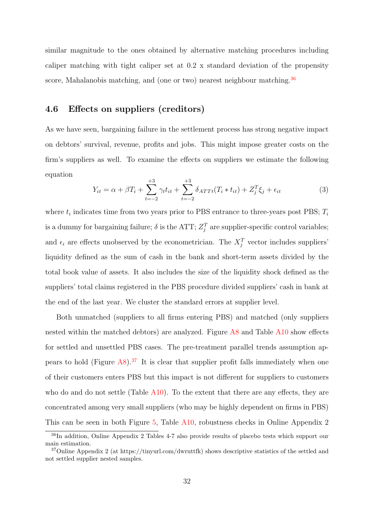similar magnitude to the ones obtained by alternative matching procedures including caliper matching with tight caliper set at 0.2 x standard deviation of the propensity score, Mahalanobis matching, and (one or two) nearest neighbour matching.<sup>36</sup>

# 4.6 Effects on suppliers (creditors)

As we have seen, bargaining failure in the settlement process has strong negative impact on debtors' survival, revenue, profits and jobs. This might impose greater costs on the firm's suppliers as well. To examine the effects on suppliers we estimate the following equation

$$
Y_{it} = \alpha + \beta T_i + \sum_{t=-2}^{+3} \gamma_t t_{it} + \sum_{t=-2}^{+3} \delta_{ATTt}(T_i * t_{it}) + Z_j^T \xi_j + \epsilon_{it}
$$
(3)

where  $t_i$  indicates time from two years prior to PBS entrance to three-years post PBS;  $T_i$ is a dummy for bargaining failure;  $\delta$  is the ATT;  $Z_j^T$  are supplier-specific control variables; and  $\epsilon_i$  are effects unobserved by the econometrician. The  $X_j^T$  vector includes suppliers' liquidity defined as the sum of cash in the bank and short-term assets divided by the total book value of assets. It also includes the size of the liquidity shock defined as the suppliers' total claims registered in the PBS procedure divided suppliers' cash in bank at the end of the last year. We cluster the standard errors at supplier level.

Both unmatched (suppliers to all firms entering PBS) and matched (only suppliers nested within the matched debtors) are analyzed. Figure A8 and Table A10 show effects for settled and unsettled PBS cases. The pre-treatment parallel trends assumption appears to hold (Figure  $\mathbf{A}8$ ).<sup>37</sup> It is clear that supplier profit falls immediately when one of their customers enters PBS but this impact is not different for suppliers to customers who do and do not settle (Table A10). To the extent that there are any effects, they are concentrated among very small suppliers (who may be highly dependent on firms in PBS) This can be seen in both Figure 5, Table A10, robustness checks in Online Appendix 2

<sup>36</sup>In addition, Online Appendix 2 Tables 4-7 also provide results of placebo tests which support our main estimation.

<sup>37</sup>Online Appendix 2 (at https://tinyurl.com/dwruttfk) shows descriptive statistics of the settled and not settled supplier nested samples.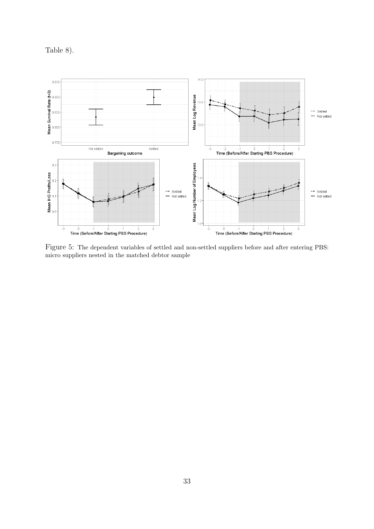Table 8).



Figure 5: The dependent variables of settled and non-settled suppliers before and after entering PBS: micro suppliers nested in the matched debtor sample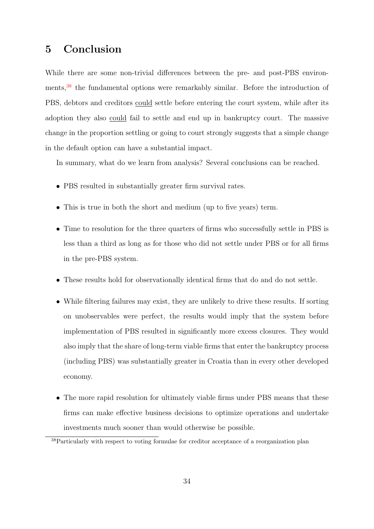# 5 Conclusion

While there are some non-trivial differences between the pre- and post-PBS environments,<sup>38</sup> the fundamental options were remarkably similar. Before the introduction of PBS, debtors and creditors could settle before entering the court system, while after its adoption they also could fail to settle and end up in bankruptcy court. The massive change in the proportion settling or going to court strongly suggests that a simple change in the default option can have a substantial impact.

In summary, what do we learn from analysis? Several conclusions can be reached.

- PBS resulted in substantially greater firm survival rates.
- This is true in both the short and medium (up to five years) term.
- Time to resolution for the three quarters of firms who successfully settle in PBS is less than a third as long as for those who did not settle under PBS or for all firms in the pre-PBS system.
- These results hold for observationally identical firms that do and do not settle.
- While filtering failures may exist, they are unlikely to drive these results. If sorting on unobservables were perfect, the results would imply that the system before implementation of PBS resulted in significantly more excess closures. They would also imply that the share of long-term viable firms that enter the bankruptcy process (including PBS) was substantially greater in Croatia than in every other developed economy.
- The more rapid resolution for ultimately viable firms under PBS means that these firms can make effective business decisions to optimize operations and undertake investments much sooner than would otherwise be possible.

<sup>38</sup>Particularly with respect to voting formulae for creditor acceptance of a reorganization plan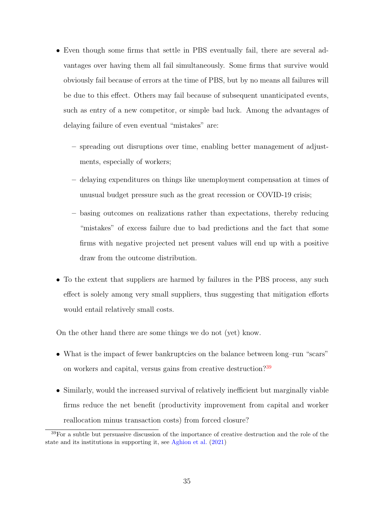- Even though some firms that settle in PBS eventually fail, there are several advantages over having them all fail simultaneously. Some firms that survive would obviously fail because of errors at the time of PBS, but by no means all failures will be due to this effect. Others may fail because of subsequent unanticipated events, such as entry of a new competitor, or simple bad luck. Among the advantages of delaying failure of even eventual "mistakes" are:
	- spreading out disruptions over time, enabling better management of adjustments, especially of workers;
	- delaying expenditures on things like unemployment compensation at times of unusual budget pressure such as the great recession or COVID-19 crisis;
	- basing outcomes on realizations rather than expectations, thereby reducing "mistakes" of excess failure due to bad predictions and the fact that some firms with negative projected net present values will end up with a positive draw from the outcome distribution.
- To the extent that suppliers are harmed by failures in the PBS process, any such effect is solely among very small suppliers, thus suggesting that mitigation efforts would entail relatively small costs.

On the other hand there are some things we do not (yet) know.

- What is the impact of fewer bankruptcies on the balance between long–run "scars" on workers and capital, versus gains from creative destruction?<sup>39</sup>
- Similarly, would the increased survival of relatively inefficient but marginally viable firms reduce the net benefit (productivity improvement from capital and worker reallocation minus transaction costs) from forced closure?

<sup>&</sup>lt;sup>39</sup>For a subtle but persuasive discussion of the importance of creative destruction and the role of the state and its institutions in supporting it, see Aghion et al. (2021)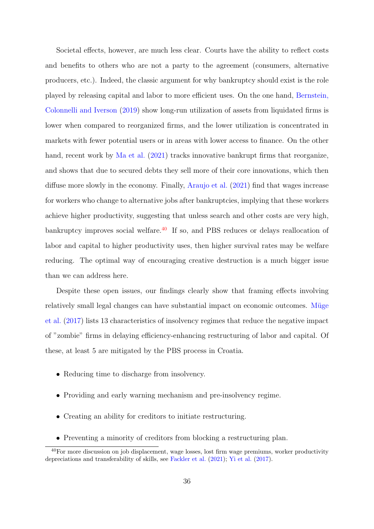Societal effects, however, are much less clear. Courts have the ability to reflect costs and benefits to others who are not a party to the agreement (consumers, alternative producers, etc.). Indeed, the classic argument for why bankruptcy should exist is the role played by releasing capital and labor to more efficient uses. On the one hand, Bernstein, Colonnelli and Iverson (2019) show long-run utilization of assets from liquidated firms is lower when compared to reorganized firms, and the lower utilization is concentrated in markets with fewer potential users or in areas with lower access to finance. On the other hand, recent work by Ma et al. (2021) tracks innovative bankrupt firms that reorganize, and shows that due to secured debts they sell more of their core innovations, which then diffuse more slowly in the economy. Finally, Araujo et al. (2021) find that wages increase for workers who change to alternative jobs after bankruptcies, implying that these workers achieve higher productivity, suggesting that unless search and other costs are very high, bankruptcy improves social welfare. $40$  If so, and PBS reduces or delays reallocation of labor and capital to higher productivity uses, then higher survival rates may be welfare reducing. The optimal way of encouraging creative destruction is a much bigger issue than we can address here.

Despite these open issues, our findings clearly show that framing effects involving relatively small legal changes can have substantial impact on economic outcomes. Müge et al. (2017) lists 13 characteristics of insolvency regimes that reduce the negative impact of "zombie" firms in delaying efficiency-enhancing restructuring of labor and capital. Of these, at least 5 are mitigated by the PBS process in Croatia.

- Reducing time to discharge from insolvency.
- Providing and early warning mechanism and pre-insolvency regime.
- Creating an ability for creditors to initiate restructuring.
- Preventing a minority of creditors from blocking a restructuring plan.

<sup>&</sup>lt;sup>40</sup>For more discussion on job displacement, wage losses, lost firm wage premiums, worker productivity depreciations and transferability of skills, see Fackler et al. (2021); Yi et al. (2017).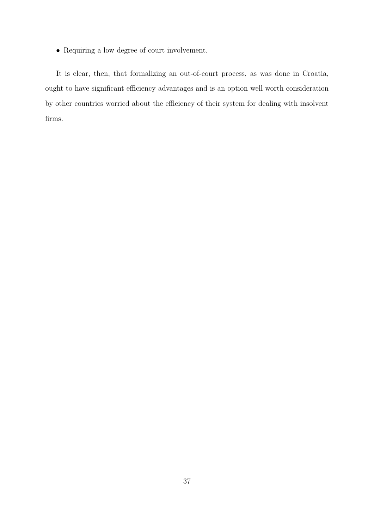• Requiring a low degree of court involvement.

It is clear, then, that formalizing an out-of-court process, as was done in Croatia, ought to have significant efficiency advantages and is an option well worth consideration by other countries worried about the efficiency of their system for dealing with insolvent firms.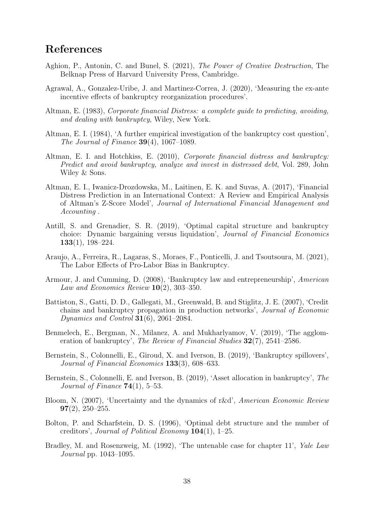# References

- Aghion, P., Antonin, C. and Bunel, S. (2021), The Power of Creative Destruction, The Belknap Press of Harvard University Press, Cambridge.
- Agrawal, A., Gonzalez-Uribe, J. and Martinez-Correa, J. (2020), 'Measuring the ex-ante incentive effects of bankruptcy reorganization procedures'.
- Altman, E. (1983), Corporate financial Distress: a complete guide to predicting, avoiding, and dealing with bankruptcy, Wiley, New York.
- Altman, E. I. (1984), 'A further empirical investigation of the bankruptcy cost question', The Journal of Finance  $39(4)$ , 1067–1089.
- Altman, E. I. and Hotchkiss, E. (2010), Corporate financial distress and bankruptcy: Predict and avoid bankruptcy, analyze and invest in distressed debt, Vol. 289, John Wiley & Sons.
- Altman, E. I., Iwanicz-Drozdowska, M., Laitinen, E. K. and Suvas, A. (2017), 'Financial Distress Prediction in an International Context: A Review and Empirical Analysis of Altman's Z-Score Model', Journal of International Financial Management and Accounting .
- Antill, S. and Grenadier, S. R. (2019), 'Optimal capital structure and bankruptcy choice: Dynamic bargaining versus liquidation', Journal of Financial Economics 133(1), 198–224.
- Araujo, A., Ferreira, R., Lagaras, S., Moraes, F., Ponticelli, J. and Tsoutsoura, M. (2021), The Labor Effects of Pro-Labor Bias in Bankruptcy.
- Armour, J. and Cumming, D. (2008), 'Bankruptcy law and entrepreneurship', American Law and Economics Review  $10(2)$ , 303-350.
- Battiston, S., Gatti, D. D., Gallegati, M., Greenwald, B. and Stiglitz, J. E. (2007), 'Credit chains and bankruptcy propagation in production networks', Journal of Economic *Dynamics and Control* **31**(6), 2061–2084.
- Benmelech, E., Bergman, N., Milanez, A. and Mukharlyamov, V. (2019), 'The agglomeration of bankruptcy', The Review of Financial Studies 32(7), 2541–2586.
- Bernstein, S., Colonnelli, E., Giroud, X. and Iverson, B. (2019), 'Bankruptcy spillovers', Journal of Financial Economics 133(3), 608–633.
- Bernstein, S., Colonnelli, E. and Iverson, B. (2019), 'Asset allocation in bankruptcy', The Journal of Finance  $74(1)$ , 5-53.
- Bloom, N. (2007), 'Uncertainty and the dynamics of r&d', American Economic Review  $97(2)$ , 250-255.
- Bolton, P. and Scharfstein, D. S. (1996), 'Optimal debt structure and the number of creditors', Journal of Political Economy 104(1), 1–25.
- Bradley, M. and Rosenzweig, M. (1992), 'The untenable case for chapter 11', Yale Law Journal pp. 1043–1095.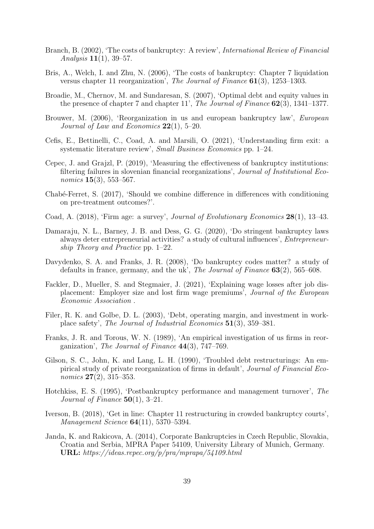- Branch, B. (2002), 'The costs of bankruptcy: A review', International Review of Financial Analysis 11(1), 39–57.
- Bris, A., Welch, I. and Zhu, N. (2006), 'The costs of bankruptcy: Chapter 7 liquidation versus chapter 11 reorganization', The Journal of Finance 61(3), 1253–1303.
- Broadie, M., Chernov, M. and Sundaresan, S. (2007), 'Optimal debt and equity values in the presence of chapter 7 and chapter 11', The Journal of Finance 62(3), 1341–1377.
- Brouwer, M. (2006), 'Reorganization in us and european bankruptcy law', European Journal of Law and Economics  $22(1)$ , 5–20.
- Cefis, E., Bettinelli, C., Coad, A. and Marsili, O. (2021), 'Understanding firm exit: a systematic literature review', Small Business Economics pp. 1–24.
- Cepec, J. and Grajzl, P. (2019), 'Measuring the effectiveness of bankruptcy institutions: filtering failures in slovenian financial reorganizations', Journal of Institutional Economics **15**(3), 553–567.
- Chabé-Ferret, S. (2017), 'Should we combine difference in differences with conditioning on pre-treatment outcomes?'.
- Coad, A. (2018), 'Firm age: a survey', Journal of Evolutionary Economics 28(1), 13–43.
- Damaraju, N. L., Barney, J. B. and Dess, G. G. (2020), 'Do stringent bankruptcy laws always deter entrepreneurial activities? a study of cultural influences', Entrepreneurship Theory and Practice pp. 1–22.
- Davydenko, S. A. and Franks, J. R. (2008), 'Do bankruptcy codes matter? a study of defaults in france, germany, and the uk', The Journal of Finance 63(2), 565–608.
- Fackler, D., Mueller, S. and Stegmaier, J. (2021), 'Explaining wage losses after job displacement: Employer size and lost firm wage premiums', Journal of the European Economic Association .
- Filer, R. K. and Golbe, D. L. (2003), 'Debt, operating margin, and investment in workplace safety', The Journal of Industrial Economics 51(3), 359–381.
- Franks, J. R. and Torous, W. N. (1989), 'An empirical investigation of us firms in reorganization', The Journal of Finance  $44(3)$ , 747–769.
- Gilson, S. C., John, K. and Lang, L. H. (1990), 'Troubled debt restructurings: An empirical study of private reorganization of firms in default', Journal of Financial Economics  $27(2)$ , 315–353.
- Hotchkiss, E. S. (1995), 'Postbankruptcy performance and management turnover', The Journal of Finance  $50(1)$ , 3-21.
- Iverson, B. (2018), 'Get in line: Chapter 11 restructuring in crowded bankruptcy courts', Management Science 64(11), 5370–5394.
- Janda, K. and Rakicova, A. (2014), Corporate Bankruptcies in Czech Republic, Slovakia, Croatia and Serbia, MPRA Paper 54109, University Library of Munich, Germany. URL: https://ideas.repec.org/p/pra/mprapa/54109.html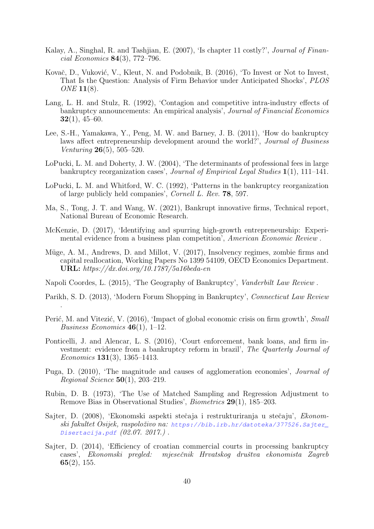- Kalay, A., Singhal, R. and Tashijan, E. (2007), 'Is chapter 11 costly?', *Journal of Finan*cial Economics 84(3), 772–796.
- Kovač, D., Vuković, V., Kleut, N. and Podobnik, B. (2016), 'To Invest or Not to Invest, That Is the Question: Analysis of Firm Behavior under Anticipated Shocks', PLOS ONE **11**(8).
- Lang, L. H. and Stulz, R. (1992), 'Contagion and competitive intra-industry effects of bankruptcy announcements: An empirical analysis', Journal of Financial Economics  $32(1), 45-60.$
- Lee, S.-H., Yamakawa, Y., Peng, M. W. and Barney, J. B. (2011), 'How do bankruptcy laws affect entrepreneurship development around the world?', Journal of Business *Venturing*  $26(5)$ , 505–520.
- LoPucki, L. M. and Doherty, J. W. (2004), 'The determinants of professional fees in large bankruptcy reorganization cases', Journal of Empirical Legal Studies 1(1), 111–141.
- LoPucki, L. M. and Whitford, W. C. (1992), 'Patterns in the bankruptcy reorganization of large publicly held companies', Cornell L. Rev. 78, 597.
- Ma, S., Tong, J. T. and Wang, W. (2021), Bankrupt innovative firms, Technical report, National Bureau of Economic Research.
- McKenzie, D. (2017), 'Identifying and spurring high-growth entrepreneurship: Experimental evidence from a business plan competition', American Economic Review .
- Müge, A. M., Andrews, D. and Millot, V. (2017), Insolvency regimes, zombie firms and capital reallocation, Working Papers No 1399 54109, OECD Economics Department. URL: https://dx.doi.org/10.1787/5a16beda-en
- Napoli Coordes, L. (2015), 'The Geography of Bankruptcy', Vanderbilt Law Review .

.

- Parikh, S. D. (2013), 'Modern Forum Shopping in Bankruptcy', Connecticut Law Review
- Perić, M. and Vitezić, V. (2016), 'Impact of global economic crisis on firm growth', Small *Business Economics* 46(1), 1–12.
- Ponticelli, J. and Alencar, L. S. (2016), 'Court enforcement, bank loans, and firm investment: evidence from a bankruptcy reform in brazil', The Quarterly Journal of Economics 131(3), 1365–1413.
- Puga, D. (2010), 'The magnitude and causes of agglomeration economies', Journal of *Regional Science*  $50(1)$ , 203-219.
- Rubin, D. B. (1973), 'The Use of Matched Sampling and Regression Adjustment to Remove Bias in Observational Studies', Biometrics 29(1), 185–203.
- Sajter, D. (2008), 'Ekonomski aspekti stečaja i restrukturiranja u stečaju', *Ekonom*ski fakultet Osijek, raspoloˇzivo na: *https://bib.irb.hr/datoteka/377526.Sajter\_ Disertacija.pdf* (02.07. 2017.) .
- Sajter, D. (2014), 'Efficiency of croatian commercial courts in processing bankruptcy cases', Ekonomski pregled: mjesečnik Hrvatskog društva ekonomista Zagreb  $65(2), 155.$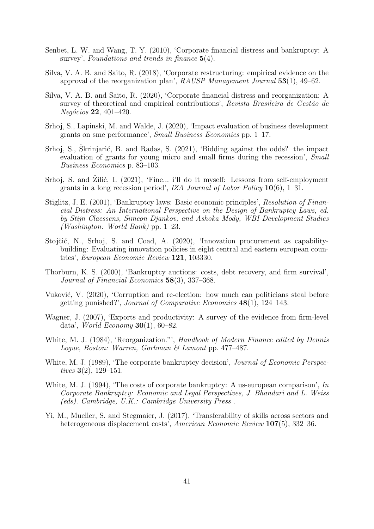- Senbet, L. W. and Wang, T. Y. (2010), 'Corporate financial distress and bankruptcy: A survey', Foundations and trends in finance  $5(4)$ .
- Silva, V. A. B. and Saito, R. (2018), 'Corporate restructuring: empirical evidence on the approval of the reorganization plan',  $RAUSP$  Management Journal  $53(1)$ , 49–62.
- Silva, V. A. B. and Saito, R. (2020), 'Corporate financial distress and reorganization: A survey of theoretical and empirical contributions', Revista Brasileira de Gestão de  $Negócios 22, 401–420.$
- Srhoj, S., Lapinski, M. and Walde, J. (2020), 'Impact evaluation of business development grants on sme performance', Small Business Economics pp. 1–17.
- Srhoj, S., Škrinjarić, B. and Radas, S. (2021), 'Bidding against the odds? the impact evaluation of grants for young micro and small firms during the recession', Small Business Economics p. 83–103.
- Srhoj, S. and Zilić, I.  $(2021)$ , 'Fine... i'll do it myself: Lessons from self-employment grants in a long recession period', IZA Journal of Labor Policy  $10(6)$ , 1–31.
- Stiglitz, J. E. (2001), 'Bankruptcy laws: Basic economic principles', Resolution of Financial Distress: An International Perspective on the Design of Bankruptcy Laws, ed. by Stijn Claessens, Simeon Djankov, and Ashoka Mody, WBI Development Studies (Washington: World Bank) pp. 1–23.
- Stojčić, N., Srhoj, S. and Coad, A. (2020), 'Innovation procurement as capabilitybuilding: Evaluating innovation policies in eight central and eastern european countries', European Economic Review 121, 103330.
- Thorburn, K. S. (2000), 'Bankruptcy auctions: costs, debt recovery, and firm survival', Journal of Financial Economics 58(3), 337–368.
- Vuković, V. (2020), 'Corruption and re-election: how much can politicians steal before getting punished?', Journal of Comparative Economics 48(1), 124–143.
- Wagner, J. (2007), 'Exports and productivity: A survey of the evidence from firm-level data', *World Economy* **30**(1), 60–82.
- White, M. J. (1984), 'Reorganization."', Handbook of Modern Finance edited by Dennis Logue, Boston: Warren, Gorhman & Lamont pp. 477–487.
- White, M. J. (1989), 'The corporate bankruptcy decision', *Journal of Economic Perspec*tives 3(2), 129–151.
- White, M. J. (1994), 'The costs of corporate bankruptcy: A us-european comparison',  $In$ Corporate Bankruptcy: Economic and Legal Perspectives, J. Bhandari and L. Weiss (eds). Cambridge, U.K.: Cambridge University Press .
- Yi, M., Mueller, S. and Stegmaier, J. (2017), 'Transferability of skills across sectors and heterogeneous displacement costs', American Economic Review 107(5), 332–36.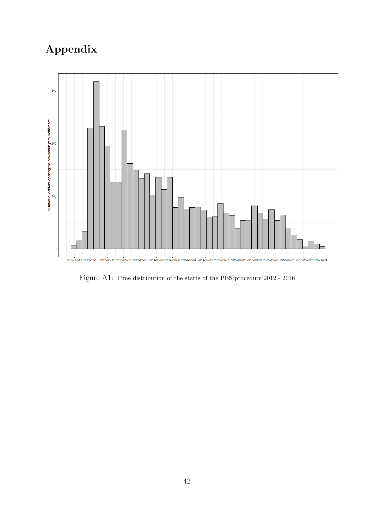# Appendix



Figure A1: Time distribution of the starts of the PBS procedure 2012 - 2016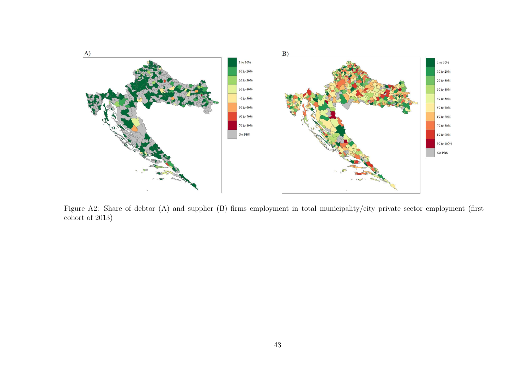

Figure A2: Share of debtor (A) and supplier (B) firms employment in total municipality/city private sector employment (first cohort of 2013)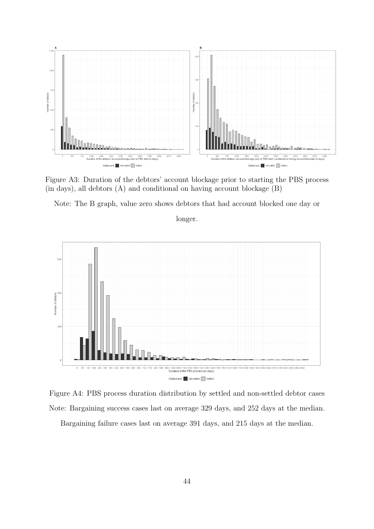

Figure A3: Duration of the debtors' account blockage prior to starting the PBS process (in days), all debtors (A) and conditional on having account blockage (B)

Note: The B graph, value zero shows debtors that had account blocked one day or

longer.



Figure A4: PBS process duration distribution by settled and non-settled debtor cases Note: Bargaining success cases last on average 329 days, and 252 days at the median. Bargaining failure cases last on average 391 days, and 215 days at the median.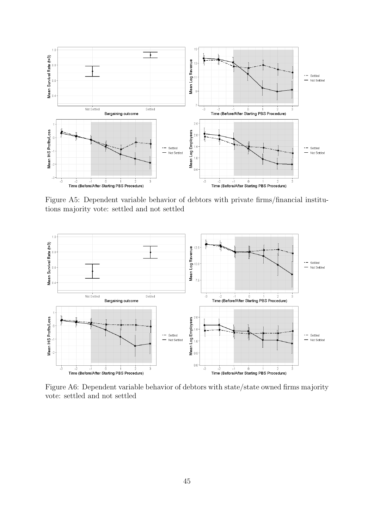

Figure A5: Dependent variable behavior of debtors with private firms/financial institutions majority vote: settled and not settled



Figure A6: Dependent variable behavior of debtors with state/state owned firms majority vote: settled and not settled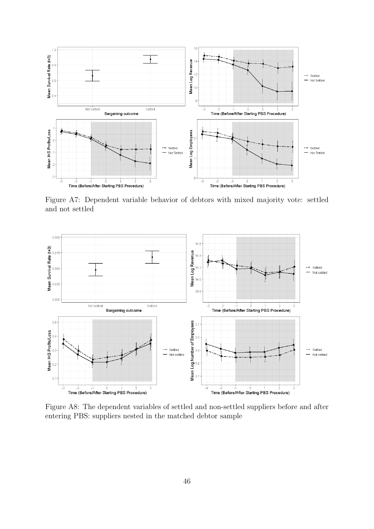

Figure A7: Dependent variable behavior of debtors with mixed majority vote: settled and not settled



Figure A8: The dependent variables of settled and non-settled suppliers before and after entering PBS: suppliers nested in the matched debtor sample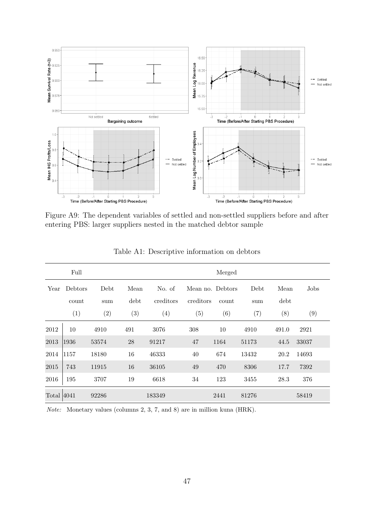

Figure A9: The dependent variables of settled and non-settled suppliers before and after entering PBS: larger suppliers nested in the matched debtor sample

|               | Full    |       |      |           |                   | Merged |       |       |       |
|---------------|---------|-------|------|-----------|-------------------|--------|-------|-------|-------|
| Year          | Debtors | Debt  | Mean | No. of    | Mean no. Debtors  |        | Debt  | Mean  | Jobs  |
|               | count   | sum   | debt | creditors | creditors         | count  | sum   | debt  |       |
|               | (1)     | (2)   | (3)  | (4)       | $\left( 5\right)$ | (6)    | (7)   | (8)   | (9)   |
| 2012          | 10      | 4910  | 491  | 3076      | 308               | 10     | 4910  | 491.0 | 2921  |
| 2013          | 1936    | 53574 | 28   | 91217     | 47                | 1164   | 51173 | 44.5  | 33037 |
| 2014          | 1157    | 18180 | 16   | 46333     | 40                | 674    | 13432 | 20.2  | 14693 |
| 2015          | 743     | 11915 | 16   | 36105     | 49                | 470    | 8306  | 17.7  | 7392  |
| 2016          | 195     | 3707  | 19   | 6618      | 34                | 123    | 3455  | 28.3  | 376   |
| Total $ 4041$ |         | 92286 |      | 183349    |                   | 2441   | 81276 |       | 58419 |

Table A1: Descriptive information on debtors

Note: Monetary values (columns 2, 3, 7, and 8) are in million kuna (HRK).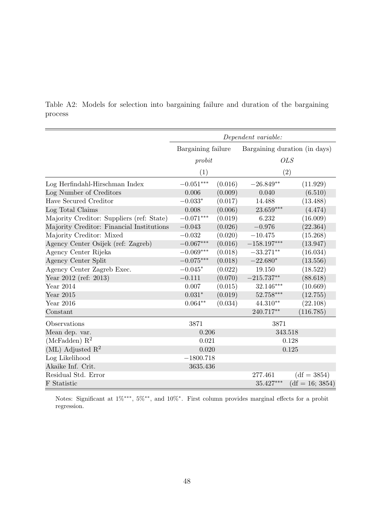Table A2: Models for selection into bargaining failure and duration of the bargaining process

|                                           |                    |         | Dependent variable:           |                   |  |
|-------------------------------------------|--------------------|---------|-------------------------------|-------------------|--|
|                                           | Bargaining failure |         | Bargaining duration (in days) |                   |  |
|                                           | probit             |         |                               | <b>OLS</b>        |  |
|                                           | (1)                |         | (2)                           |                   |  |
| Log Herfindahl-Hirschman Index            | $-0.051***$        | (0.016) | $-26.849**$                   | (11.929)          |  |
| Log Number of Creditors                   | 0.006              | (0.009) | 0.040                         | (6.510)           |  |
| Have Secured Creditor                     | $-0.033*$          | (0.017) | 14.488                        | (13.488)          |  |
| Log Total Claims                          | 0.008              | (0.006) | $23.659***$                   | (4.474)           |  |
| Majority Creditor: Suppliers (ref: State) | $-0.071***$        | (0.019) | 6.232                         | (16.009)          |  |
| Majority Creditor: Financial Institutions | $-0.043$           | (0.026) | $-0.976$                      | (22.364)          |  |
| Majority Creditor: Mixed                  | $-0.032$           | (0.020) | $-10.475$                     | (15.268)          |  |
| Agency Center Osijek (ref: Zagreb)        | $-0.067***$        | (0.016) | $-158.197***$                 | (13.947)          |  |
| Agency Center Rijeka                      | $-0.069***$        | (0.018) | $-33.271**$                   | (16.034)          |  |
| Agency Center Split                       | $-0.075***$        | (0.018) | $-22.680*$                    | (13.556)          |  |
| Agency Center Zagreb Exec.                | $-0.045*$          | (0.022) | 19.150                        | (18.522)          |  |
| Year $2012$ (ref: 2013)                   | $-0.111$           | (0.070) | $-215.737**$                  | (88.618)          |  |
| Year $2014$                               | 0.007              | (0.015) | 32.146***                     | (10.669)          |  |
| Year 2015                                 | $0.031*$           | (0.019) | $52.758***$                   | (12.755)          |  |
| Year $2016$                               | $0.064**$          | (0.034) | 44.310**                      | (22.108)          |  |
| Constant                                  |                    |         | 240.717**                     | (116.785)         |  |
| Observations                              | 3871               |         | 3871                          |                   |  |
| Mean dep. var.                            | 0.206              |         | 343.518                       |                   |  |
| (McFadden) $R^2$                          | 0.021              |         |                               | 0.128             |  |
| (ML) Adjusted $\mathbb{R}^2$              | 0.020<br>0.125     |         |                               |                   |  |
| Log Likelihood                            | $-1800.718$        |         |                               |                   |  |
| Akaike Inf. Crit.                         | 3635.436           |         |                               |                   |  |
| Residual Std. Error                       |                    |         | 277.461                       | $(df = 3854)$     |  |
| F Statistic                               |                    |         | 35.427***                     | $(df = 16; 3854)$ |  |

Notes: Significant at  $1\%$ <sup>\*\*\*</sup>,  $5\%$ <sup>\*\*</sup>, and  $10\%$ <sup>\*</sup>. First column provides marginal effects for a probit regression.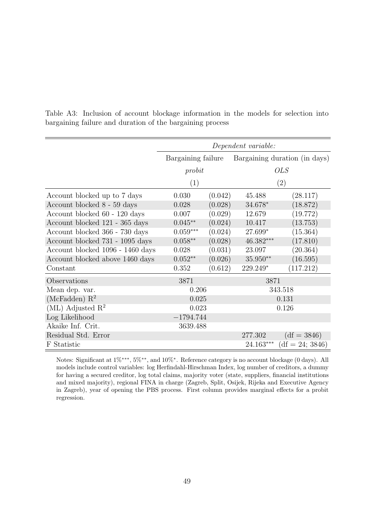|                                  |                    |         | Dependent variable: |                               |
|----------------------------------|--------------------|---------|---------------------|-------------------------------|
|                                  | Bargaining failure |         |                     | Bargaining duration (in days) |
|                                  | probit             |         |                     | <b>OLS</b>                    |
|                                  | (1)                |         |                     | $\left( 2\right)$             |
| Account blocked up to 7 days     | 0.030              | (0.042) | 45.488              | (28.117)                      |
| Account blocked 8 - 59 days      | 0.028              | (0.028) | $34.678*$           | (18.872)                      |
| Account blocked 60 - 120 days    | 0.007              | (0.029) | 12.679              | (19.772)                      |
| Account blocked 121 - 365 days   | $0.045**$          | (0.024) | 10.417              | (13.753)                      |
| Account blocked 366 - 730 days   | $0.059^{***}\,$    | (0.024) | 27.699*             | (15.364)                      |
| Account blocked 731 - 1095 days  | $0.058**$          | (0.028) | 46.382***           | (17.810)                      |
| Account blocked 1096 - 1460 days | 0.028              | (0.031) | 23.097              | (20.364)                      |
| Account blocked above 1460 days  | $0.052**$          | (0.026) | $35.950**$          | (16.595)                      |
| Constant                         | 0.352              | (0.612) | 229.249*            | (117.212)                     |
| Observations                     | 3871               |         | 3871                |                               |
| Mean dep. var.                   | 0.206              |         |                     | 343.518                       |
| (McFadden) $R^2$                 | 0.025              |         |                     | 0.131                         |
| $(ML)$ Adjusted $R2$             | 0.023              |         |                     | 0.126                         |
| Log Likelihood                   | $-1794.744$        |         |                     |                               |
| Akaike Inf. Crit.                | 3639.488           |         |                     |                               |
| Residual Std. Error              |                    |         | 277.302             | $(df = 3846)$                 |
| F Statistic                      |                    |         | 24.163***           | $(df = 24; 3846)$             |

Table A3: Inclusion of account blockage information in the models for selection into bargaining failure and duration of the bargaining process

Notes: Significant at  $1\%$ <sup>\*\*\*</sup>, 5%<sup>\*\*</sup>, and  $10\%$ <sup>\*</sup>. Reference category is no account blockage (0 days). All models include control variables: log Herfindahl-Hirschman Index, log number of creditors, a dummy for having a secured creditor, log total claims, majority voter (state, suppliers, financial institutions and mixed majority), regional FINA in charge (Zagreb, Split, Osijek, Rijeka and Executive Agency in Zagreb), year of opening the PBS process. First column provides marginal effects for a probit regression.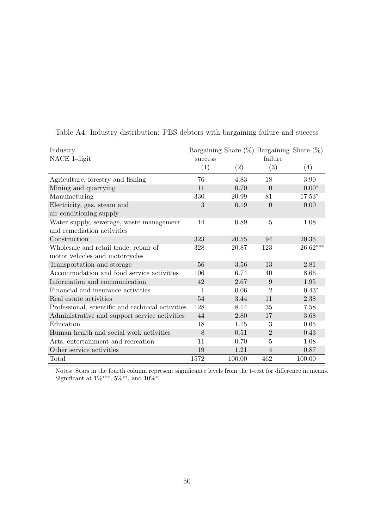| Industry                                                               |         |        | Bargaining Share $(\%)$ Bargaining Share $(\%)$ |            |
|------------------------------------------------------------------------|---------|--------|-------------------------------------------------|------------|
| NACE 1-digit                                                           | success |        | failure                                         |            |
|                                                                        | (1)     | (2)    | (3)                                             | (4)        |
| Agriculture, forestry and fishing                                      | 76      | 4.83   | 18                                              | 3.90       |
| Mining and quarrying                                                   | 11      | 0.70   | $\overline{0}$                                  | $0.00*$    |
| Manufacturing                                                          | 330     | 20.99  | 81                                              | $17.53*$   |
| Electricity, gas, steam and<br>air conditioning supply                 | 3       | 0.19   | $\Omega$                                        | 0.00       |
| Water supply, sewerage, waste management<br>and remediation activities | 14      | 0.89   | $\overline{5}$                                  | 1.08       |
| Construction                                                           | 323     | 20.55  | 94                                              | 20.35      |
| Wholesale and retail trade; repair of                                  | 328     | 20.87  | 123                                             | $26.62***$ |
| motor vehicles and motorcycles                                         |         |        |                                                 |            |
| Transportation and storage                                             | 56      | 3.56   | 13                                              | 2.81       |
| Accommodation and food service activities                              | 106     | 6.74   | 40                                              | 8.66       |
| Information and communication                                          | 42      | 2.67   | 9                                               | 1.95       |
| Financial and insurance activities                                     | 1       | 0.06   | $\overline{2}$                                  | $0.43*$    |
| Real estate activities                                                 | 54      | 3.44   | 11                                              | 2.38       |
| Professional, scientific and technical activities                      | 128     | 8.14   | 35                                              | 7.58       |
| Administrative and support service activities                          | 44      | 2.80   | 17                                              | 3.68       |
| Education                                                              | 18      | 1.15   | 3                                               | 0.65       |
| Human health and social work activities                                | 8       | 0.51   | $\overline{2}$                                  | 0.43       |
| Arts, entertainment and recreation                                     | 11      | 0.70   | 5                                               | 1.08       |
| Other service activities                                               | 19      | 1.21   | $\overline{4}$                                  | 0.87       |
| Total                                                                  | 1572    | 100.00 | 462                                             | 100.00     |

Table A4: Industry distribution: PBS debtors with bargaining failure and success

Notes: Stars in the fourth column represent significance levels from the t-test for difference in means. Significant at  $1\%***$ ,  $5\%**$ , and  $10\%*$ .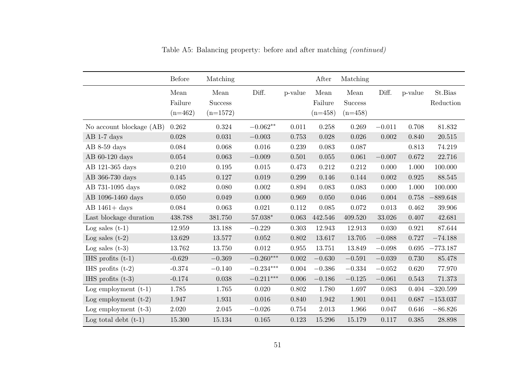|                          | <b>Before</b>                | Matching                             |             |         | After                        | Matching                            |          |         |                      |
|--------------------------|------------------------------|--------------------------------------|-------------|---------|------------------------------|-------------------------------------|----------|---------|----------------------|
|                          | Mean<br>Failure<br>$(n=462)$ | Mean<br><b>Success</b><br>$(n=1572)$ | Diff.       | p-value | Mean<br>Failure<br>$(n=458)$ | Mean<br><b>Success</b><br>$(n=458)$ | Diff.    | p-value | St.Bias<br>Reduction |
| No account blockage (AB) | 0.262                        | 0.324                                | $-0.062**$  | 0.011   | 0.258                        | 0.269                               | $-0.011$ | 0.708   | 81.832               |
| $AB$ 1-7 days            | 0.028                        | 0.031                                | $-0.003$    | 0.753   | 0.028                        | 0.026                               | 0.002    | 0.840   | 20.515               |
| $AB$ 8-59 days           | 0.084                        | 0.068                                | 0.016       | 0.239   | 0.083                        | 0.087                               |          | 0.813   | 74.219               |
| AB $60-120$ days         | 0.054                        | 0.063                                | $-0.009$    | 0.501   | 0.055                        | 0.061                               | $-0.007$ | 0.672   | 22.716               |
| AB 121-365 days          | 0.210                        | $0.195\,$                            | $0.015\,$   | 0.473   | 0.212                        | 0.212                               | 0.000    | 1.000   | 100.000              |
| AB 366-730 days          | 0.145                        | 0.127                                | 0.019       | 0.299   | 0.146                        | 0.144                               | 0.002    | 0.925   | 88.545               |
| AB 731-1095 days         | 0.082                        | 0.080                                | 0.002       | 0.894   | 0.083                        | 0.083                               | 0.000    | 1.000   | 100.000              |
| AB 1096-1460 days        | 0.050                        | 0.049                                | 0.000       | 0.969   | 0.050                        | 0.046                               | 0.004    | 0.758   | $-889.648$           |
| $AB$ 1461+ days          | 0.084                        | 0.063                                | 0.021       | 0.112   | 0.085                        | 0.072                               | 0.013    | 0.462   | 39.906               |
| Last blockage duration   | 438.788                      | 381.750                              | $57.038*$   | 0.063   | 442.546                      | 409.520                             | 33.026   | 0.407   | 42.681               |
| Log sales $(t-1)$        | 12.959                       | 13.188                               | $-0.229$    | 0.303   | 12.943                       | 12.913                              | 0.030    | 0.921   | 87.644               |
| Log sales $(t-2)$        | 13.629                       | 13.577                               | 0.052       | 0.802   | 13.617                       | 13.705                              | $-0.088$ | 0.727   | $-74.188$            |
| Log sales $(t-3)$        | 13.762                       | 13.750                               | 0.012       | 0.955   | 13.751                       | 13.849                              | $-0.098$ | 0.695   | $-773.187$           |
| IHS profits $(t-1)$      | $-0.629$                     | $-0.369$                             | $-0.260***$ | 0.002   | $-0.630$                     | $-0.591$                            | $-0.039$ | 0.730   | 85.478               |
| IHS profits $(t-2)$      | $-0.374$                     | $-0.140$                             | $-0.234***$ | 0.004   | $-0.386$                     | $-0.334$                            | $-0.052$ | 0.620   | 77.970               |
| IHS profits $(t-3)$      | $-0.174$                     | 0.038                                | $-0.211***$ | 0.006   | $-0.186$                     | $-0.125$                            | $-0.061$ | 0.543   | 71.373               |
| Log employment $(t-1)$   | 1.785                        | 1.765                                | 0.020       | 0.802   | 1.780                        | 1.697                               | 0.083    | 0.404   | $-320.599$           |
| Log employment $(t-2)$   | 1.947                        | 1.931                                | 0.016       | 0.840   | 1.942                        | 1.901                               | 0.041    |         | $0.687 -153.037$     |
| Log employment $(t-3)$   | 2.020                        | 2.045                                | $-0.026$    | 0.754   | 2.013                        | 1.966                               | 0.047    | 0.646   | $-86.826$            |
| Log total debt $(t-1)$   | 15.300                       | 15.134                               | 0.165       | 0.123   | 15.296                       | 15.179                              | 0.117    | 0.385   | 28.898               |

Table A5: Balancing property: before and after matching (continued)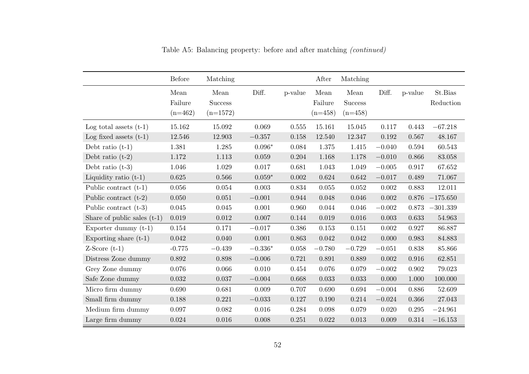|                               | <b>Before</b>                | Matching                             |           |         | After                        | Matching                            |          |             |                      |
|-------------------------------|------------------------------|--------------------------------------|-----------|---------|------------------------------|-------------------------------------|----------|-------------|----------------------|
|                               | Mean<br>Failure<br>$(n=462)$ | Mean<br><b>Success</b><br>$(n=1572)$ | Diff.     | p-value | Mean<br>Failure<br>$(n=458)$ | Mean<br><b>Success</b><br>$(n=458)$ | Diff.    | p-value     | St.Bias<br>Reduction |
| Log total assets $(t-1)$      | 15.162                       | 15.092                               | 0.069     | 0.555   | 15.161                       | 15.045                              | 0.117    | 0.443       | $-67.218$            |
| Log fixed assets $(t-1)$      | 12.546                       | 12.903                               | $-0.357$  | 0.158   | 12.540                       | 12.347                              | 0.192    | 0.567       | 48.167               |
| Debt ratio $(t-1)$            | 1.381                        | 1.285                                | $0.096*$  | 0.084   | 1.375                        | 1.415                               | $-0.040$ | 0.594       | 60.543               |
| Debt ratio $(t-2)$            | 1.172                        | 1.113                                | 0.059     | 0.204   | 1.168                        | 1.178                               | $-0.010$ | 0.866       | 83.058               |
| Debt ratio $(t-3)$            | 1.046                        | 1.029                                | 0.017     | 0.681   | 1.043                        | 1.049                               | $-0.005$ | 0.917       | 67.652               |
| Liquidity ratio $(t-1)$       | 0.625                        | 0.566                                | $0.059*$  | 0.002   | 0.624                        | 0.642                               | $-0.017$ | 0.489       | 71.067               |
| Public contract $(t-1)$       | 0.056                        | 0.054                                | 0.003     | 0.834   | 0.055                        | 0.052                               | 0.002    | 0.883       | 12.011               |
| Public contract $(t-2)$       | 0.050                        | 0.051                                | $-0.001$  | 0.944   | 0.048                        | 0.046                               | 0.002    | 0.876       | $-175.650$           |
| Public contract $(t-3)$       | $0.045\,$                    | $0.045\,$                            | 0.001     | 0.960   | 0.044                        | $0.046\,$                           | $-0.002$ | 0.873       | $-301.339$           |
| Share of public sales $(t-1)$ | 0.019                        | 0.012                                | 0.007     | 0.144   | 0.019                        | 0.016                               | 0.003    | 0.633       | 54.963               |
| Exporter dummy $(t-1)$        | $0.154\,$                    | 0.171                                | $-0.017$  | 0.386   | 0.153                        | 0.151                               | 0.002    | 0.927       | 86.887               |
| Exporting share $(t-1)$       | 0.042                        | 0.040                                | 0.001     | 0.863   | 0.042                        | 0.042                               | 0.000    | 0.983       | 84.883               |
| $Z-Score(t-1)$                | $-0.775$                     | $-0.439$                             | $-0.336*$ | 0.058   | $-0.780$                     | $-0.729$                            | $-0.051$ | 0.838       | 85.866               |
| Distress Zone dummy           | 0.892                        | 0.898                                | $-0.006$  | 0.721   | 0.891                        | 0.889                               | 0.002    | 0.916       | 62.851               |
| Grey Zone dummy               | 0.076                        | 0.066                                | 0.010     | 0.454   | 0.076                        | 0.079                               | $-0.002$ | $\,0.902\,$ | 79.023               |
| Safe Zone dummy               | 0.032                        | 0.037                                | $-0.004$  | 0.668   | 0.033                        | 0.033                               | 0.000    | 1.000       | 100.000              |
| Micro firm dummy              | 0.690                        | 0.681                                | 0.009     | 0.707   | 0.690                        | 0.694                               | $-0.004$ | 0.886       | 52.609               |
| Small firm dummy              | 0.188                        | 0.221                                | $-0.033$  | 0.127   | 0.190                        | 0.214                               | $-0.024$ | 0.366       | 27.043               |
| Medium firm dummy             | 0.097                        | 0.082                                | 0.016     | 0.284   | 0.098                        | 0.079                               | 0.020    | 0.295       | $-24.961$            |
| Large firm dummy              | $\,0.024\,$                  | $0.016\,$                            | 0.008     | 0.251   | 0.022                        | 0.013                               | 0.009    | 0.314       | $-16.153$            |

Table A5: Balancing property: before and after matching (continued)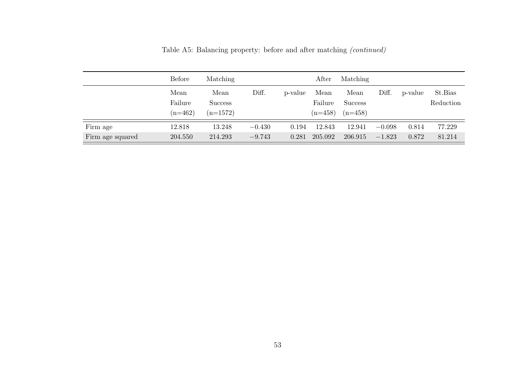|                  | Before                       | Matching                             |          |         | After                        | Matching                            |          |         |                      |
|------------------|------------------------------|--------------------------------------|----------|---------|------------------------------|-------------------------------------|----------|---------|----------------------|
|                  | Mean<br>Failure<br>$(n=462)$ | Mean<br><b>Success</b><br>$(n=1572)$ | Diff.    | p-value | Mean<br>Failure<br>$(n=458)$ | Mean<br><b>Success</b><br>$(n=458)$ | Diff.    | p-value | St.Bias<br>Reduction |
| Firm age         | 12.818                       | 13.248                               | $-0.430$ | 0.194   | 12.843                       | 12.941                              | $-0.098$ | 0.814   | 77.229               |
| Firm age squared | 204.550                      | 214.293                              | $-9.743$ | 0.281   | 205.092                      | 206.915                             | $-1.823$ | 0.872   | 81.214               |

Table A5: Balancing property: before and after matching (continued)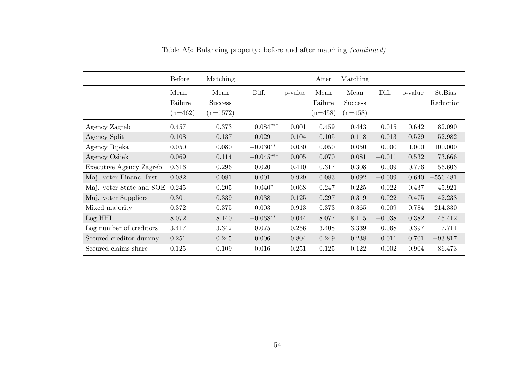|                          | <b>Before</b>                | Matching                             |             |         | After                        | Matching                            |          |         |                      |
|--------------------------|------------------------------|--------------------------------------|-------------|---------|------------------------------|-------------------------------------|----------|---------|----------------------|
|                          | Mean<br>Failure<br>$(n=462)$ | Mean<br><b>Success</b><br>$(n=1572)$ | Diff.       | p-value | Mean<br>Failure<br>$(n=458)$ | Mean<br><b>Success</b><br>$(n=458)$ | Diff.    | p-value | St.Bias<br>Reduction |
| Agency Zagreb            | 0.457                        | 0.373                                | $0.084***$  | 0.001   | 0.459                        | 0.443                               | 0.015    | 0.642   | 82.090               |
| Agency Split             | 0.108                        | 0.137                                | $-0.029$    | 0.104   | 0.105                        | 0.118                               | $-0.013$ | 0.529   | 52.982               |
| Agency Rijeka            | 0.050                        | 0.080                                | $-0.030**$  | 0.030   | 0.050                        | 0.050                               | 0.000    | 1.000   | 100.000              |
| Agency Osijek            | 0.069                        | 0.114                                | $-0.045***$ | 0.005   | 0.070                        | 0.081                               | $-0.011$ | 0.532   | 73.666               |
| Executive Agency Zagreb  | 0.316                        | 0.296                                | 0.020       | 0.410   | 0.317                        | 0.308                               | 0.009    | 0.776   | 56.603               |
| Maj. voter Financ. Inst. | 0.082                        | 0.081                                | 0.001       | 0.929   | 0.083                        | 0.092                               | $-0.009$ | 0.640   | $-556.481$           |
| Maj. voter State and SOE | 0.245                        | 0.205                                | $0.040*$    | 0.068   | 0.247                        | 0.225                               | 0.022    | 0.437   | 45.921               |
| Maj. voter Suppliers     | 0.301                        | 0.339                                | $-0.038$    | 0.125   | 0.297                        | 0.319                               | $-0.022$ | 0.475   | 42.238               |
| Mixed majority           | 0.372                        | 0.375                                | $-0.003$    | 0.913   | 0.373                        | 0.365                               | 0.009    | 0.784   | $-214.330$           |
| Log HHI                  | 8.072                        | 8.140                                | $-0.068**$  | 0.044   | 8.077                        | 8.115                               | $-0.038$ | 0.382   | 45.412               |
| Log number of creditors  | 3.417                        | 3.342                                | 0.075       | 0.256   | 3.408                        | 3.339                               | 0.068    | 0.397   | 7.711                |
| Secured creditor dummy   | 0.251                        | 0.245                                | 0.006       | 0.804   | 0.249                        | 0.238                               | 0.011    | 0.701   | $-93.817$            |
| Secured claims share     | 0.125                        | 0.109                                | 0.016       | 0.251   | 0.125                        | 0.122                               | 0.002    | 0.904   | 86.473               |

Table A5: Balancing property: before and after matching (continued)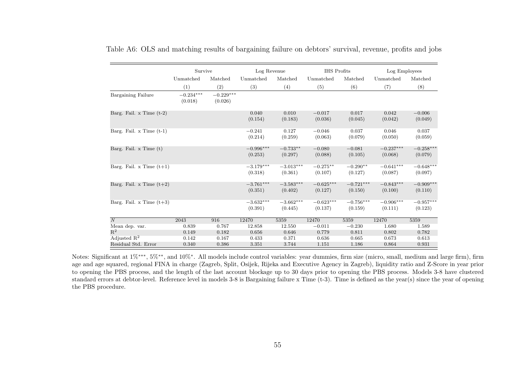|                              | Survive                |                        | Log Revenue            |                        | <b>IHS</b> Profits     |                        | Log Employees          |                        |
|------------------------------|------------------------|------------------------|------------------------|------------------------|------------------------|------------------------|------------------------|------------------------|
|                              | Unmatched              | Matched                | Unmatched              | Matched                | Unmatched              | Matched                | Unmatched              | Matched                |
|                              | (1)                    | (2)                    | (3)                    | (4)                    | (5)                    | (6)                    | (7)                    | (8)                    |
| Bargaining Failure           | $-0.234***$<br>(0.018) | $-0.229***$<br>(0.026) |                        |                        |                        |                        |                        |                        |
| Barg. Fail. $x$ Time $(t-2)$ |                        |                        | 0.040<br>(0.154)       | 0.010<br>(0.183)       | $-0.017$<br>(0.036)    | 0.017<br>(0.045)       | 0.042<br>(0.042)       | $-0.006$<br>(0.049)    |
| Barg. Fail. $x$ Time $(t-1)$ |                        |                        | $-0.241$<br>(0.214)    | 0.127<br>(0.259)       | $-0.046$<br>(0.063)    | 0.037<br>(0.079)       | 0.046<br>(0.050)       | 0.037<br>(0.059)       |
| Barg. Fail. $x$ Time $(t)$   |                        |                        | $-0.996***$<br>(0.253) | $-0.733**$<br>(0.297)  | $-0.080$<br>(0.088)    | $-0.081$<br>(0.105)    | $-0.237***$<br>(0.068) | $-0.258***$<br>(0.079) |
| Barg. Fail. x Time $(t+1)$   |                        |                        | $-3.179***$<br>(0.318) | $-3.013***$<br>(0.361) | $-0.275**$<br>(0.107)  | $-0.290**$<br>(0.127)  | $-0.641***$<br>(0.087) | $-0.648***$<br>(0.097) |
| Barg. Fail. x Time $(t+2)$   |                        |                        | $-3.761***$<br>(0.351) | $-3.583***$<br>(0.402) | $-0.625***$<br>(0.127) | $-0.721***$<br>(0.150) | $-0.843***$<br>(0.100) | $-0.909***$<br>(0.110) |
| Barg. Fail. x Time $(t+3)$   |                        |                        | $-3.632***$<br>(0.391) | $-3.662***$<br>(0.445) | $-0.623***$<br>(0.137) | $-0.756***$<br>(0.159) | $-0.906***$<br>(0.111) | $-0.957***$<br>(0.123) |
| N                            | 2043                   | 916                    | 12470                  | 5359                   | 12470                  | 5359                   | 12470                  | 5359                   |
| Mean dep. var.               | 0.839                  | 0.767                  | 12.858                 | 12.550                 | $-0.011$               | $-0.230$               | 1.680                  | 1.589                  |
| $\mathrm{R}^2$               | 0.149                  | 0.182                  | 0.656                  | 0.646                  | 0.779                  | 0.811                  | 0.802                  | 0.782                  |
| Adjusted $\mathbb{R}^2$      | 0.142                  | 0.167                  | 0.433                  | 0.371                  | 0.636                  | 0.665                  | 0.673                  | 0.613                  |
| Residual Std. Error          | 0.340                  | 0.386                  | 3.351                  | 3.744                  | 1.151                  | 1.186                  | 0.864                  | 0.931                  |

Table A6: OLS and matching results of bargaining failure on debtors' survival, revenue, profits and jobs

Notes: Significant at 1%<sup>\*\*\*</sup>, 5%<sup>\*\*</sup>, and 10%<sup>\*</sup>. All models include control variables: year dummies, firm size (micro, small, medium and large firm), firm age and age squared, regional FINA in charge (Zagreb, Split, Osijek, Rijeka and Executive Agency in Zagreb), liquidity ratio and Z-Score in year prior to opening the PBS process, and the length of the last account blockage up to 30 days prior to opening the PBS process. Models 3-8 have clustered standard errors at debtor-level. Reference level in models 3-8 is Bargaining failure x Time (t-3). Time is defined as the year(s) since the year of opening the PBS procedure.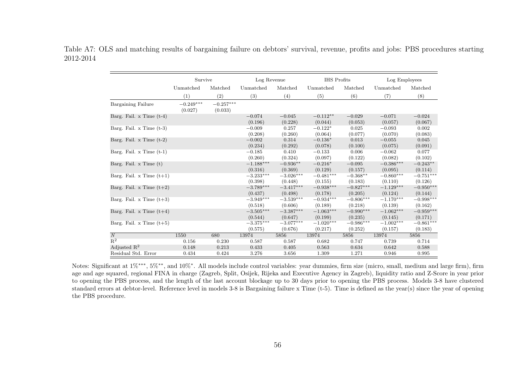Table A7: OLS and matching results of bargaining failure on debtors' survival, revenue, profits and jobs: PBS procedures starting 2012-2014

|                              | Survive                |                        | Log Revenue            |                        | IHS Profits            |                        | Log Employees          |                        |
|------------------------------|------------------------|------------------------|------------------------|------------------------|------------------------|------------------------|------------------------|------------------------|
|                              | Unmatched              | Matched                | Unmatched              | Matched                | Unmatched              | Matched                | Unmatched              | Matched                |
|                              | (1)                    | (2)                    | (3)                    | (4)                    | (5)                    | (6)                    | (7)                    | (8)                    |
| Bargaining Failure           | $-0.249***$<br>(0.027) | $-0.257***$<br>(0.033) |                        |                        |                        |                        |                        |                        |
| Barg. Fail. x Time $(t-4)$   |                        |                        | $-0.074$<br>(0.196)    | $-0.045$<br>(0.228)    | $-0.112**$<br>(0.044)  | $-0.029$<br>(0.053)    | $-0.071$<br>(0.057)    | $-0.024$<br>(0.067)    |
| Barg. Fail. $x$ Time $(t-3)$ |                        |                        | $-0.009$<br>(0.208)    | 0.257<br>(0.260)       | $-0.122*$<br>(0.064)   | 0.025<br>(0.077)       | $-0.093$<br>(0.070)    | 0.002<br>(0.083)       |
| Barg. Fail. $x$ Time $(t-2)$ |                        |                        | $-0.002$<br>(0.234)    | 0.314<br>(0.292)       | $-0.136*$<br>(0.078)   | 0.013<br>(0.100)       | $-0.055$<br>(0.075)    | 0.045<br>(0.091)       |
| Barg. Fail. $x$ Time $(t-1)$ |                        |                        | $-0.185$<br>(0.260)    | 0.410<br>(0.324)       | $-0.133$<br>(0.097)    | 0.006<br>(0.122)       | $-0.062$<br>(0.082)    | 0.077<br>(0.102)       |
| Barg. Fail. $x$ Time $(t)$   |                        |                        | $-1.188***$<br>(0.316) | $-0.936**$<br>(0.369)  | $-0.216*$<br>(0.129)   | $-0.095$<br>(0.157)    | $-0.386***$<br>(0.095) | $-0.243**$<br>(0.114)  |
| Barg. Fail. x Time $(t+1)$   |                        |                        | $-3.233***$<br>(0.398) | $-3.026***$<br>(0.448) | $-0.481***$<br>(0.155) | $-0.368**$<br>(0.183)  | $-0.860***$<br>(0.110) | $-0.751***$<br>(0.126) |
| Barg. Fail. x Time $(t+2)$   |                        |                        | $-3.789***$<br>(0.437) | $-3.417***$<br>(0.498) | $-0.938***$<br>(0.178) | $-0.827***$<br>(0.205) | $-1.129***$<br>(0.124) | $-0.950***$<br>(0.144) |
| Barg. Fail. x Time $(t+3)$   |                        |                        | $-3.949***$<br>(0.518) | $-3.539***$<br>(0.606) | $-0.934***$<br>(0.189) | $-0.806***$<br>(0.218) | $-1.170***$<br>(0.139) | $-0.998***$<br>(0.162) |
| Barg. Fail. x Time $(t+4)$   |                        |                        | $-3.505***$<br>(0.544) | $-3.387***$<br>(0.647) | $-1.063***$<br>(0.199) | $-0.990***$<br>(0.235) | $-1.062***$<br>(0.145) | $-0.959***$<br>(0.171) |
| Barg. Fail. x Time $(t+5)$   |                        |                        | $-3.375***$<br>(0.575) | $-3.077***$<br>(0.676) | $-1.020***$<br>(0.217) | $-0.986***$<br>(0.252) | $-1.002***$<br>(0.157) | $-0.861***$<br>(0.183) |
| $\overline{N}$               | 1550                   | 680                    | 13974                  | 5856                   | 13974                  | 5856                   | 13974                  | 5856                   |
| $R^2$                        | 0.156                  | 0.230                  | 0.587                  | 0.587                  | 0.682                  | 0.747                  | 0.739                  | 0.714                  |
| Adjusted $\mathbb{R}^2$      | 0.148                  | 0.213                  | 0.433                  | 0.405                  | 0.563                  | 0.634                  | 0.642                  | 0.588                  |
| Residual Std. Error          | 0.434                  | 0.424                  | 3.276                  | 3.656                  | 1.309                  | 1.271                  | 0.946                  | 0.995                  |

Notes: Significant at 1%<sup>\*\*\*</sup>, 5%<sup>\*\*</sup>, and 10%<sup>\*</sup>. All models include control variables: year dummies, firm size (micro, small, medium and large firm), firm age and age squared, regional FINA in charge (Zagreb, Split, Osijek, Rijeka and Executive Agency in Zagreb), liquidity ratio and Z-Score in year prior to opening the PBS process, and the length of the last account blockage up to 30 days prior to opening the PBS process. Models 3-8 have clustered standard errors at debtor-level. Reference level in models 3-8 is Bargaining failure x Time (t-5). Time is defined as the year(s) since the year of opening the PBS procedure.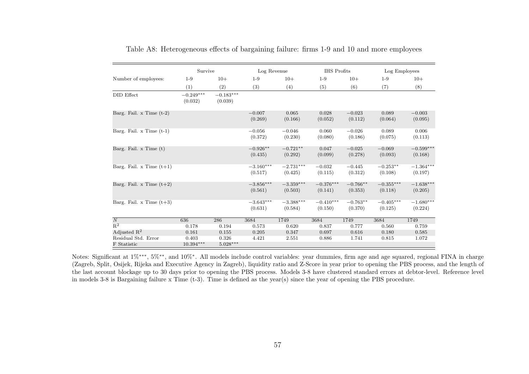|                                    | Survive                |                        | Log Revenue            |                        | <b>IHS</b> Profits     |                       | Log Employees          |                        |
|------------------------------------|------------------------|------------------------|------------------------|------------------------|------------------------|-----------------------|------------------------|------------------------|
| Number of employees:               | $1-9$                  | $10+$                  | $1-9$                  | $10+$                  | $1-9$                  | $10+$                 | $1-9$                  | $10+$                  |
|                                    | (1)                    | (2)                    | (3)                    | (4)                    | (5)                    | (6)                   | (7)                    | (8)                    |
| DID Effect                         | $-0.249***$<br>(0.032) | $-0.183***$<br>(0.039) |                        |                        |                        |                       |                        |                        |
| Barg. Fail. x Time $(t-2)$         |                        |                        | $-0.007$<br>(0.269)    | 0.065<br>(0.166)       | 0.028<br>(0.052)       | $-0.023$<br>(0.112)   | 0.089<br>(0.064)       | $-0.003$<br>(0.095)    |
| Barg. Fail. $x$ Time $(t-1)$       |                        |                        | $-0.056$<br>(0.372)    | $-0.046$<br>(0.230)    | 0.060<br>(0.080)       | $-0.026$<br>(0.186)   | 0.089<br>(0.075)       | 0.006<br>(0.113)       |
| Barg. Fail. $x$ Time $(t)$         |                        |                        | $-0.926**$<br>(0.435)  | $-0.721**$<br>(0.292)  | 0.047<br>(0.099)       | $-0.025$<br>(0.278)   | $-0.069$<br>(0.093)    | $-0.599***$<br>(0.168) |
| Barg. Fail. x Time $(t+1)$         |                        |                        | $-3.160***$<br>(0.517) | $-2.731***$<br>(0.425) | $-0.032$<br>(0.115)    | $-0.445$<br>(0.312)   | $-0.253**$<br>(0.108)  | $-1.364***$<br>(0.197) |
| Barg. Fail. x Time $(t+2)$         |                        |                        | $-3.856***$<br>(0.561) | $-3.359***$<br>(0.503) | $-0.376***$<br>(0.141) | $-0.766**$<br>(0.353) | $-0.355***$<br>(0.118) | $-1.638***$<br>(0.205) |
| Barg. Fail. x Time $(t+3)$         |                        |                        | $-3.643***$<br>(0.631) | $-3.388***$<br>(0.584) | $-0.410***$<br>(0.150) | $-0.763**$<br>(0.370) | $-0.405***$<br>(0.125) | $-1.680***$<br>(0.224) |
| $\overline{N}$                     | 636                    | 286                    | 3684                   | 1749                   | 3684                   | 1749                  | 3684                   | 1749                   |
| $R^2$                              | 0.178                  | 0.194                  | 0.573                  | 0.620                  | 0.837                  | 0.777                 | 0.560                  | 0.759                  |
| Adjusted $\mathbb{R}^2$            | 0.161                  | 0.155                  | 0.205                  | 0.347                  | 0.697                  | 0.616                 | 0.180                  | 0.585                  |
| Residual Std. Error<br>F Statistic | 0.403<br>$10.394***$   | 0.326<br>$5.028***$    | 4.421                  | 2.551                  | 0.886                  | 1.741                 | 0.815                  | 1.072                  |

Table A8: Heterogeneous effects of bargaining failure: firms 1-9 and 10 and more employees

Notes: Significant at 1%<sup>\*\*\*</sup>, 5%<sup>\*\*</sup>, and 10%<sup>\*</sup>. All models include control variables: year dummies, firm age and age squared, regional FINA in charge (Zagreb, Split, Osijek, Rijeka and Executive Agency in Zagreb), liquidity ratio and Z-Score in year prior to opening the PBS process, and the length of the last account blockage up to 30 days prior to opening the PBS process. Models 3-8 have clustered standard errors at debtor-level. Reference level in models 3-8 is Bargaining failure x Time (t-3). Time is defined as the year(s) since the year of opening the PBS procedure.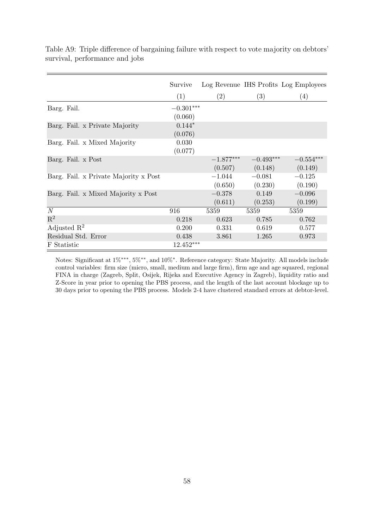|                                       | Survive     |                   |             | Log Revenue IHS Profits Log Employees |
|---------------------------------------|-------------|-------------------|-------------|---------------------------------------|
|                                       | (1)         | $\left( 2\right)$ | (3)         | (4)                                   |
| Barg. Fail.                           | $-0.301***$ |                   |             |                                       |
|                                       | (0.060)     |                   |             |                                       |
| Barg. Fail. x Private Majority        | $0.144*$    |                   |             |                                       |
|                                       | (0.076)     |                   |             |                                       |
| Barg. Fail. x Mixed Majority          | 0.030       |                   |             |                                       |
|                                       | (0.077)     |                   |             |                                       |
| Barg. Fail. x Post                    |             | $-1.877***$       | $-0.493***$ | $-0.554***$                           |
|                                       |             | (0.507)           | (0.148)     | (0.149)                               |
| Barg. Fail. x Private Majority x Post |             | $-1.044$          | $-0.081$    | $-0.125$                              |
|                                       |             | (0.650)           | (0.230)     | (0.190)                               |
| Barg. Fail. x Mixed Majority x Post   |             | $-0.378$          | 0.149       | $-0.096$                              |
|                                       |             | (0.611)           | (0.253)     | (0.199)                               |
| N                                     | 916         | 5359              | 5359        | 5359                                  |
| $\mathrm{R}^2$                        | 0.218       | 0.623             | 0.785       | 0.762                                 |
| Adjusted $\mathbb{R}^2$               | 0.200       | 0.331             | 0.619       | 0.577                                 |
| Residual Std. Error                   | 0.438       | 3.861             | 1.265       | 0.973                                 |
| F Statistic                           | $12.452***$ |                   |             |                                       |

Table A9: Triple difference of bargaining failure with respect to vote majority on debtors' survival, performance and jobs

Notes: Significant at 1%∗∗∗, 5%∗∗, and 10%<sup>∗</sup> . Reference category: State Majority. All models include control variables: firm size (micro, small, medium and large firm), firm age and age squared, regional FINA in charge (Zagreb, Split, Osijek, Rijeka and Executive Agency in Zagreb), liquidity ratio and Z-Score in year prior to opening the PBS process, and the length of the last account blockage up to 30 days prior to opening the PBS process. Models 2-4 have clustered standard errors at debtor-level.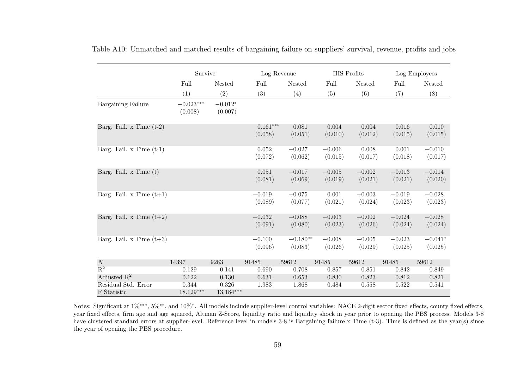|                              | Survive                |                      | Log Revenue           |                       | IHS Profits         |                     | Log Employees       |                      |
|------------------------------|------------------------|----------------------|-----------------------|-----------------------|---------------------|---------------------|---------------------|----------------------|
|                              | Full                   | Nested               | Full                  | Nested                | Full                | Nested              | Full                | Nested               |
|                              | (1)                    | (2)                  | (3)                   | (4)                   | (5)                 | (6)                 | (7)                 | (8)                  |
| Bargaining Failure           | $-0.023***$<br>(0.008) | $-0.012*$<br>(0.007) |                       |                       |                     |                     |                     |                      |
| Barg. Fail. x Time $(t-2)$   |                        |                      | $0.161***$<br>(0.058) | 0.081<br>(0.051)      | 0.004<br>(0.010)    | 0.004<br>(0.012)    | 0.016<br>(0.015)    | 0.010<br>(0.015)     |
| Barg. Fail. $x$ Time $(t-1)$ |                        |                      | 0.052<br>(0.072)      | $-0.027$<br>(0.062)   | $-0.006$<br>(0.015) | 0.008<br>(0.017)    | 0.001<br>(0.018)    | $-0.010$<br>(0.017)  |
| Barg. Fail. x Time (t)       |                        |                      | 0.051<br>(0.081)      | $-0.017$<br>(0.069)   | $-0.005$<br>(0.019) | $-0.002$<br>(0.021) | $-0.013$<br>(0.021) | $-0.014$<br>(0.020)  |
| Barg. Fail. x Time $(t+1)$   |                        |                      | $-0.019$<br>(0.089)   | $-0.075$<br>(0.077)   | 0.001<br>(0.021)    | $-0.003$<br>(0.024) | $-0.019$<br>(0.023) | $-0.028$<br>(0.023)  |
| Barg. Fail. x Time $(t+2)$   |                        |                      | $-0.032$<br>(0.091)   | $-0.088$<br>(0.080)   | $-0.003$<br>(0.023) | $-0.002$<br>(0.026) | $-0.024$<br>(0.024) | $-0.028$<br>(0.024)  |
| Barg. Fail. x Time $(t+3)$   |                        |                      | $-0.100$<br>(0.096)   | $-0.180**$<br>(0.083) | $-0.008$<br>(0.026) | $-0.005$<br>(0.029) | $-0.023$<br>(0.025) | $-0.041*$<br>(0.025) |
| $\overline{N}$               | 14397                  | 9283                 | 91485                 | 59612                 | 91485               | 59612               | 91485               | 59612                |
| $R^2$                        | 0.129                  | 0.141                | 0.690                 | 0.708                 | 0.857               | 0.851               | 0.842               | 0.849                |
| Adjusted $\mathbb{R}^2$      | 0.122                  | 0.130                | 0.631                 | 0.653                 | 0.830               | 0.823               | 0.812               | 0.821                |
| Residual Std. Error          | 0.344                  | 0.326                | 1.983                 | 1.868                 | 0.484               | 0.558               | 0.522               | 0.541                |
| F Statistic                  | $18.129***$            | $13.184***$          |                       |                       |                     |                     |                     |                      |

Table A10: Unmatched and matched results of bargaining failure on suppliers' survival, revenue, profits and jobs

Notes: Significant at 1%<sup>\*\*\*</sup>, 5%<sup>\*\*</sup>, and 10%<sup>\*</sup>. All models include supplier-level control variables: NACE 2-digit sector fixed effects, county fixed effects, year fixed effects, firm age and age squared, Altman Z-Score, liquidity ratio and liquidity shock in year prior to opening the PBS process. Models 3-8 have clustered standard errors at supplier-level. Reference level in models 3-8 is Bargaining failure x Time (t-3). Time is defined as the year(s) since the year of opening the PBS procedure.